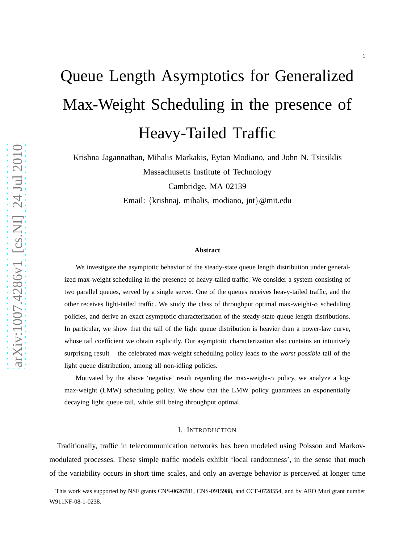# Queue Length Asymptotics for Generalized Max-Weight Scheduling in the presence of Heavy-Tailed Traffic

Krishna Jagannathan, Mihalis Markakis, Eytan Modiano, and John N. Tsitsiklis Massachusetts Institute of Technology

Cambridge, MA 02139

Email: {krishnaj, mihalis, modiano, jnt }@mit.edu

#### **Abstract**

We investigate the asymptotic behavior of the steady-state queue length distribution under generalized max-weight scheduling in the presence of heavy-tailed traffic. We consider a system consisting of two parallel queues, served by a single server. One of the queues receives heavy-tailed traffic, and the other receives light-tailed traffic. We study the class of throughput optimal max-weight- $\alpha$  scheduling policies, and derive an exact asymptotic characterization of the steady-state queue length distributions. In particular, we show that the tail of the light queue distribution is heavier than a power-law curve, whose tail coefficient we obtain explicitly. Our asymptotic characterization also contains an intuitively surprising result – the celebrated max-weight scheduling policy leads to the *worst possible* tail of the light queue distribution, among all non-idling policies.

Motivated by the above 'negative' result regarding the max-weight- $\alpha$  policy, we analyze a logmax-weight (LMW) scheduling policy. We show that the LMW policy guarantees an exponentially decaying light queue tail, while still being throughput optimal.

#### I. INTRODUCTION

Traditionally, traffic in telecommunication networks has been modeled using Poisson and Markovmodulated processes. These simple traffic models exhibit 'local randomness', in the sense that much of the variability occurs in short time scales, and only an average behavior is perceived at longer time

This work was supported by NSF grants CNS-0626781, CNS-0915988, and CCF-0728554, and by ARO Muri grant number W911NF-08-1-0238.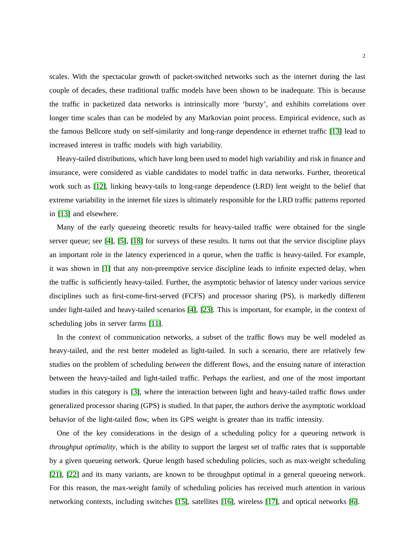scales. With the spectacular growth of packet-switched networks such as the internet during the last couple of decades, these traditional traffic models have been shown to be inadequate. This is because the traffic in packetized data networks is intrinsically more 'bursty', and exhibits correlations over longer time scales than can be modeled by any Markovian point process. Empirical evidence, such as the famous Bellcore study on self-similarity and long-range dependence in ethernet traffic [\[13\]](#page-33-0) lead to increased interest in traffic models with high variability.

Heavy-tailed distributions, which have long been used to model high variability and risk in finance and insurance, were considered as viable candidates to model traffic in data networks. Further, theoretical work such as [\[12\]](#page-32-0), linking heavy-tails to long-range dependence (LRD) lent weight to the belief that extreme variability in the internet file sizes is ultimately responsible for the LRD traffic patterns reported in [\[13\]](#page-33-0) and elsewhere.

Many of the early queueing theoretic results for heavy-tailed traffic were obtained for the single server queue; see [\[4\]](#page-32-1), [\[5\]](#page-32-2), [\[18\]](#page-33-1) for surveys of these results. It turns out that the service discipline plays an important role in the latency experienced in a queue, when the traffic is heavy-tailed. For example, it was shown in [\[1\]](#page-32-3) that any non-preemptive service discipline leads to infinite expected delay, when the traffic is sufficiently heavy-tailed. Further, the asymptotic behavior of latency under various service disciplines such as first-come-first-served (FCFS) and processor sharing (PS), is markedly different under light-tailed and heavy-tailed scenarios [\[4\]](#page-32-1), [\[23\]](#page-33-2). This is important, for example, in the context of scheduling jobs in server farms [\[11\]](#page-32-4).

In the context of communication networks, a subset of the traffic flows may be well modeled as heavy-tailed, and the rest better modeled as light-tailed. In such a scenario, there are relatively few studies on the problem of scheduling *between* the different flows, and the ensuing nature of interaction between the heavy-tailed and light-tailed traffic. Perhaps the earliest, and one of the most important studies in this category is [\[3\]](#page-32-5), where the interaction between light and heavy-tailed traffic flows under generalized processor sharing (GPS) is studied. In that paper, the authors derive the asymptotic workload behavior of the light-tailed flow, when its GPS weight is greater than its traffic intensity.

One of the key considerations in the design of a scheduling policy for a queueing network is *throughput optimality*, which is the ability to support the largest set of traffic rates that is supportable by a given queueing network. Queue length based scheduling policies, such as max-weight scheduling [\[21\]](#page-33-3), [\[22\]](#page-33-4) and its many variants, are known to be throughput optimal in a general queueing network. For this reason, the max-weight family of scheduling policies has received much attention in various networking contexts, including switches [\[15\]](#page-33-5), satellites [\[16\]](#page-33-6), wireless [\[17\]](#page-33-7), and optical networks [\[6\]](#page-32-6).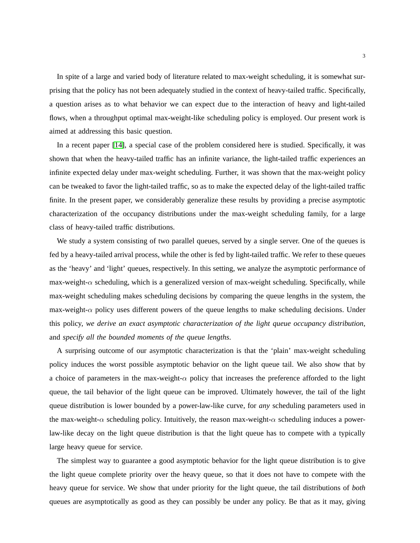In spite of a large and varied body of literature related to max-weight scheduling, it is somewhat surprising that the policy has not been adequately studied in the context of heavy-tailed traffic. Specifically, a question arises as to what behavior we can expect due to the interaction of heavy and light-tailed flows, when a throughput optimal max-weight-like scheduling policy is employed. Our present work is aimed at addressing this basic question.

In a recent paper [\[14\]](#page-33-8), a special case of the problem considered here is studied. Specifically, it was shown that when the heavy-tailed traffic has an infinite variance, the light-tailed traffic experiences an infinite expected delay under max-weight scheduling. Further, it was shown that the max-weight policy can be tweaked to favor the light-tailed traffic, so as to make the expected delay of the light-tailed traffic finite. In the present paper, we considerably generalize these results by providing a precise asymptotic characterization of the occupancy distributions under the max-weight scheduling family, for a large class of heavy-tailed traffic distributions.

We study a system consisting of two parallel queues, served by a single server. One of the queues is fed by a heavy-tailed arrival process, while the other is fed by light-tailed traffic. We refer to these queues as the 'heavy' and 'light' queues, respectively. In this setting, we analyze the asymptotic performance of max-weight- $\alpha$  scheduling, which is a generalized version of max-weight scheduling. Specifically, while max-weight scheduling makes scheduling decisions by comparing the queue lengths in the system, the max-weight- $\alpha$  policy uses different powers of the queue lengths to make scheduling decisions. Under this policy, *we derive an exact asymptotic characterization of the light queue occupancy distribution*, and *specify all the bounded moments of the queue lengths*.

A surprising outcome of our asymptotic characterization is that the 'plain' max-weight scheduling policy induces the worst possible asymptotic behavior on the light queue tail. We also show that by a choice of parameters in the max-weight- $\alpha$  policy that increases the preference afforded to the light queue, the tail behavior of the light queue can be improved. Ultimately however, the tail of the light queue distribution is lower bounded by a power-law-like curve, for *any* scheduling parameters used in the max-weight- $\alpha$  scheduling policy. Intuitively, the reason max-weight- $\alpha$  scheduling induces a powerlaw-like decay on the light queue distribution is that the light queue has to compete with a typically large heavy queue for service.

The simplest way to guarantee a good asymptotic behavior for the light queue distribution is to give the light queue complete priority over the heavy queue, so that it does not have to compete with the heavy queue for service. We show that under priority for the light queue, the tail distributions of *both* queues are asymptotically as good as they can possibly be under any policy. Be that as it may, giving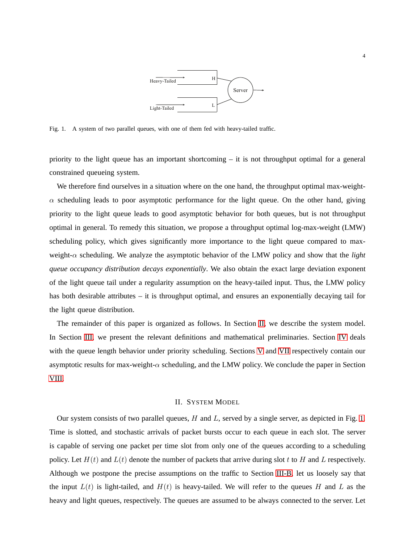

<span id="page-3-1"></span>Fig. 1. A system of two parallel queues, with one of them fed with heavy-tailed traffic.

priority to the light queue has an important shortcoming – it is not throughput optimal for a general constrained queueing system.

We therefore find ourselves in a situation where on the one hand, the throughput optimal max-weight- $\alpha$  scheduling leads to poor asymptotic performance for the light queue. On the other hand, giving priority to the light queue leads to good asymptotic behavior for both queues, but is not throughput optimal in general. To remedy this situation, we propose a throughput optimal log-max-weight (LMW) scheduling policy, which gives significantly more importance to the light queue compared to maxweight-α scheduling. We analyze the asymptotic behavior of the LMW policy and show that the *light queue occupancy distribution decays exponentially*. We also obtain the exact large deviation exponent of the light queue tail under a regularity assumption on the heavy-tailed input. Thus, the LMW policy has both desirable attributes – it is throughput optimal, and ensures an exponentially decaying tail for the light queue distribution.

The remainder of this paper is organized as follows. In Section [II,](#page-3-0) we describe the system model. In Section [III,](#page-4-0) we present the relevant definitions and mathematical preliminaries. Section [IV](#page-9-0) deals with the queue length behavior under priority scheduling. Sections [V](#page-12-0) and [VII](#page-20-0) respectively contain our asymptotic results for max-weight- $\alpha$  scheduling, and the LMW policy. We conclude the paper in Section [VIII.](#page-27-0)

### II. SYSTEM MODEL

<span id="page-3-0"></span>Our system consists of two parallel queues,  $H$  and  $L$ , served by a single server, as depicted in Fig. [1.](#page-3-1) Time is slotted, and stochastic arrivals of packet bursts occur to each queue in each slot. The server is capable of serving one packet per time slot from only one of the queues according to a scheduling policy. Let  $H(t)$  and  $L(t)$  denote the number of packets that arrive during slot t to H and L respectively. Although we postpone the precise assumptions on the traffic to Section [III-B,](#page-7-0) let us loosely say that the input  $L(t)$  is light-tailed, and  $H(t)$  is heavy-tailed. We will refer to the queues H and L as the heavy and light queues, respectively. The queues are assumed to be always connected to the server. Let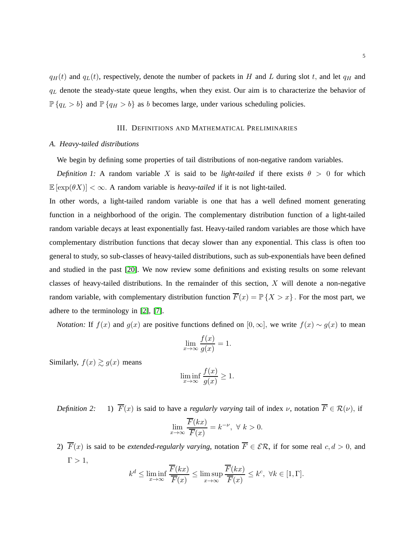<span id="page-4-0"></span> $q_H(t)$  and  $q_L(t)$ , respectively, denote the number of packets in H and L during slot t, and let  $q_H$  and  $q_L$  denote the steady-state queue lengths, when they exist. Our aim is to characterize the behavior of  $\mathbb{P} \{q_L > b\}$  and  $\mathbb{P} \{q_H > b\}$  as b becomes large, under various scheduling policies.

## III. DEFINITIONS AND MATHEMATICAL PRELIMINARIES

#### *A. Heavy-tailed distributions*

We begin by defining some properties of tail distributions of non-negative random variables.

*Definition 1:* A random variable X is said to be *light-tailed* if there exists  $\theta > 0$  for which  $\mathbb{E}[\exp(\theta X)] < \infty$ . A random variable is *heavy-tailed* if it is not light-tailed.

In other words, a light-tailed random variable is one that has a well defined moment generating function in a neighborhood of the origin. The complementary distribution function of a light-tailed random variable decays at least exponentially fast. Heavy-tailed random variables are those which have complementary distribution functions that decay slower than any exponential. This class is often too general to study, so sub-classes of heavy-tailed distributions, such as sub-exponentials have been defined and studied in the past [\[20\]](#page-33-9). We now review some definitions and existing results on some relevant classes of heavy-tailed distributions. In the remainder of this section,  $X$  will denote a non-negative random variable, with complementary distribution function  $\overline{F}(x) = \mathbb{P}\{X > x\}$ . For the most part, we adhere to the terminology in [\[2\]](#page-32-7), [\[7\]](#page-32-8).

*Notation:* If  $f(x)$  and  $g(x)$  are positive functions defined on [0,∞], we write  $f(x) \sim g(x)$  to mean

$$
\lim_{x \to \infty} \frac{f(x)}{g(x)} = 1.
$$

Similarly,  $f(x) \gtrsim g(x)$  means

$$
\liminf_{x \to \infty} \frac{f(x)}{g(x)} \ge 1.
$$

<span id="page-4-1"></span>*Definition 2:* 1)  $\overline{F}(x)$  is said to have a *regularly varying* tail of index  $\nu$ , notation  $\overline{F} \in \mathcal{R}(\nu)$ , if

$$
\lim_{x \to \infty} \frac{F(kx)}{\overline{F}(x)} = k^{-\nu}, \ \forall \ k > 0.
$$

2)  $\overline{F}(x)$  is said to be *extended-regularly varying*, notation  $\overline{F} \in \mathcal{ER}$ , if for some real  $c, d > 0$ , and  $\Gamma > 1$ ,

$$
k^d \le \liminf_{x \to \infty} \frac{\overline{F}(kx)}{\overline{F}(x)} \le \limsup_{x \to \infty} \frac{\overline{F}(kx)}{\overline{F}(x)} \le k^c, \ \forall k \in [1, \Gamma].
$$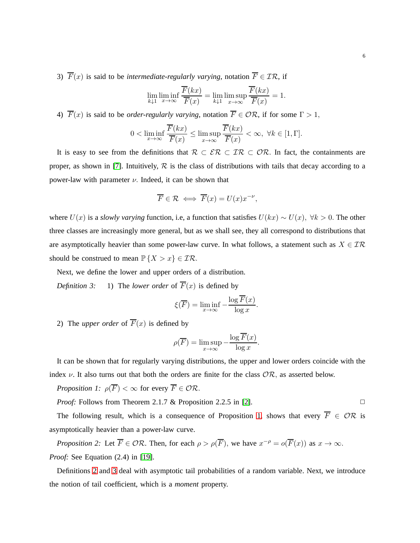3)  $\overline{F}(x)$  is said to be *intermediate-regularly varying*, notation  $\overline{F} \in \mathcal{IR}$ , if

$$
\lim_{k\downarrow 1} \liminf_{x\to\infty} \frac{\overline{F}(kx)}{\overline{F}(x)} = \lim_{k\downarrow 1} \limsup_{x\to\infty} \frac{\overline{F}(kx)}{\overline{F}(x)} = 1.
$$

4)  $\overline{F}(x)$  is said to be *order-regularly varying*, notation  $\overline{F} \in \mathcal{OR}$ , if for some  $\Gamma > 1$ ,

$$
0 < \liminf_{x \to \infty} \frac{\overline{F}(kx)}{\overline{F}(x)} \le \limsup_{x \to \infty} \frac{\overline{F}(kx)}{\overline{F}(x)} < \infty, \ \forall k \in [1, \Gamma].
$$

It is easy to see from the definitions that  $\mathcal{R} \subset \mathcal{ER} \subset \mathcal{IR} \subset \mathcal{OR}$ . In fact, the containments are proper, as shown in [\[7\]](#page-32-8). Intuitively,  $R$  is the class of distributions with tails that decay according to a power-law with parameter  $\nu$ . Indeed, it can be shown that

$$
\overline{F} \in \mathcal{R} \iff \overline{F}(x) = U(x)x^{-\nu},
$$

where  $U(x)$  is a *slowly varying* function, i.e, a function that satisfies  $U(kx) \sim U(x)$ ,  $\forall k > 0$ . The other three classes are increasingly more general, but as we shall see, they all correspond to distributions that are asymptotically heavier than some power-law curve. In what follows, a statement such as  $X \in \mathcal{IR}$ should be construed to mean  $\mathbb{P}\{X > x\} \in \mathcal{IR}$ .

Next, we define the lower and upper orders of a distribution.

*Definition 3:* 1) The *lower order* of  $\overline{F}(x)$  is defined by

$$
\xi(\overline{F}) = \liminf_{x \to \infty} -\frac{\log \overline{F}(x)}{\log x}.
$$

2) The *upper order* of  $\overline{F}(x)$  is defined by

$$
\rho(\overline{F}) = \limsup_{x \to \infty} -\frac{\log F(x)}{\log x}
$$

<span id="page-5-1"></span>.

<span id="page-5-0"></span>It can be shown that for regularly varying distributions, the upper and lower orders coincide with the index  $\nu$ . It also turns out that both the orders are finite for the class  $\mathcal{O}\mathcal{R}$ , as asserted below.

*Proposition 1:*  $\rho(\overline{F}) < \infty$  for every  $\overline{F} \in \mathcal{OR}$ .

*Proof:* Follows from Theorem 2.1.7 & Proposition 2.2.5 in [\[2\]](#page-32-7). □

The following result, which is a consequence of Proposition [1,](#page-5-0) shows that every  $\overline{F} \in \mathcal{OR}$  is asymptotically heavier than a power-law curve.

*Proposition 2:* Let  $\overline{F} \in \mathcal{OR}$ . Then, for each  $\rho > \rho(\overline{F})$ , we have  $x^{-\rho} = o(\overline{F}(x))$  as  $x \to \infty$ . *Proof:* See Equation (2.4) in [\[19\]](#page-33-10).

Definitions [2](#page-4-1) and [3](#page-5-1) deal with asymptotic tail probabilities of a random variable. Next, we introduce the notion of tail coefficient, which is a *moment* property.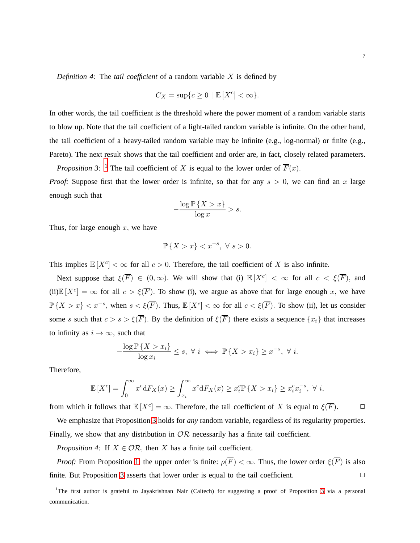*Definition 4:* The *tail coefficient* of a random variable X is defined by

$$
C_X = \sup\{c \ge 0 \mid \mathbb{E}[X^c] < \infty\}.
$$

In other words, the tail coefficient is the threshold where the power moment of a random variable starts to blow up. Note that the tail coefficient of a light-tailed random variable is infinite. On the other hand, the tail coefficient of a heavy-tailed random variable may be infinite (e.g., log-normal) or finite (e.g., Pareto). The next result shows that the tail coefficient and order are, in fact, closely related parameters.

<span id="page-6-1"></span>*Proposition 3:* <sup>[1](#page-6-0)</sup> The tail coefficient of X is equal to the lower order of  $\overline{F}(x)$ . *Proof:* Suppose first that the lower order is infinite, so that for any  $s > 0$ , we can find an x large enough such that

$$
-\frac{\log \mathbb{P}\left\{X > x\right\}}{\log x} > s.
$$

Thus, for large enough  $x$ , we have

$$
\mathbb{P}\{X > x\} < x^{-s}, \ \forall \ s > 0.
$$

This implies  $\mathbb{E}[X^c]<\infty$  for all  $c>0$ . Therefore, the tail coefficient of X is also infinite.

Next suppose that  $\xi(\overline{F}) \in (0,\infty)$ . We will show that (i)  $\mathbb{E}[X^c] < \infty$  for all  $c < \xi(\overline{F})$ , and (ii)  $\mathbb{E}[X^c] = \infty$  for all  $c > \xi(\overline{F})$ . To show (i), we argue as above that for large enough x, we have  $\mathbb{P}\{X > x\} < x^{-s}$ , when  $s < \xi(\overline{F})$ . Thus,  $\mathbb{E}[X^c] < \infty$  for all  $c < \xi(\overline{F})$ . To show (ii), let us consider some s such that  $c > s > \xi(\overline{F})$ . By the definition of  $\xi(\overline{F})$  there exists a sequence  $\{x_i\}$  that increases to infinity as  $i \rightarrow \infty$ , such that

$$
-\frac{\log \mathbb{P}\left\{X > x_{i}\right\}}{\log x_{i}} \leq s, \ \forall \ i \iff \mathbb{P}\left\{X > x_{i}\right\} \geq x^{-s}, \ \forall \ i.
$$

Therefore,

$$
\mathbb{E}\left[X^{c}\right] = \int_{0}^{\infty} x^{c} dF_{X}(x) \geq \int_{x_{i}}^{\infty} x^{c} dF_{X}(x) \geq x_{i}^{c} \mathbb{P}\left\{X > x_{i}\right\} \geq x_{i}^{c} x_{i}^{-s}, \ \forall \ i,
$$

from which it follows that  $\mathbb{E}[X^c] = \infty$ . Therefore, the tail coefficient of X is equal to  $\xi(\overline{F})$ .

We emphasize that Proposition [3](#page-6-1) holds for *any* random variable, regardless of its regularity properties. Finally, we show that any distribution in  $\mathcal{OR}$  necessarily has a finite tail coefficient.

*Proposition 4:* If  $X \in \mathcal{OR}$ , then X has a finite tail coefficient.

*Proof:* From Proposition [1,](#page-5-0) the upper order is finite:  $\rho(\overline{F}) < \infty$ . Thus, the lower order  $\xi(\overline{F})$  is also finite. But Proposition [3](#page-6-1) asserts that lower order is equal to the tail coefficient.  $\Box$ 

<span id="page-6-0"></span><sup>1</sup>The first author is grateful to Jayakrishnan Nair (Caltech) for suggesting a proof of Proposition [3](#page-6-1) via a personal communication.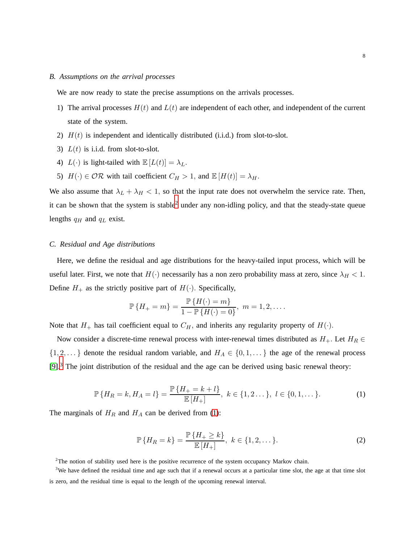#### <span id="page-7-0"></span>*B. Assumptions on the arrival processes*

We are now ready to state the precise assumptions on the arrivals processes.

- 1) The arrival processes  $H(t)$  and  $L(t)$  are independent of each other, and independent of the current state of the system.
- 2)  $H(t)$  is independent and identically distributed (i.i.d.) from slot-to-slot.
- 3)  $L(t)$  is i.i.d. from slot-to-slot.
- 4)  $L(\cdot)$  is light-tailed with  $\mathbb{E}[L(t)] = \lambda_L$ .
- 5)  $H(\cdot) \in \mathcal{OR}$  with tail coefficient  $C_H > 1$ , and  $\mathbb{E}[H(t)] = \lambda_H$ .

We also assume that  $\lambda_L + \lambda_H < 1$ , so that the input rate does not overwhelm the service rate. Then, it can be shown that the system is stable<sup>[2](#page-7-1)</sup> under any non-idling policy, and that the steady-state queue lengths  $q_H$  and  $q_L$  exist.

## *C. Residual and Age distributions*

Here, we define the residual and age distributions for the heavy-tailed input process, which will be useful later. First, we note that  $H(\cdot)$  necessarily has a non zero probability mass at zero, since  $\lambda_H < 1$ . Define  $H_+$  as the strictly positive part of  $H(\cdot)$ . Specifically,

$$
\mathbb{P}\{H_{+}=m\} = \frac{\mathbb{P}\{H(\cdot)=m\}}{1-\mathbb{P}\{H(\cdot)=0\}}, \ m = 1, 2, \dots.
$$

Note that  $H_+$  has tail coefficient equal to  $C_H$ , and inherits any regularity property of  $H(\cdot)$ .

Now consider a discrete-time renewal process with inter-renewal times distributed as  $H_+$ . Let  $H_R \in$  $\{1, 2, \dots\}$  denote the residual random variable, and  $H_A \in \{0, 1, \dots\}$  the age of the renewal process [\[9\]](#page-32-9).<sup>[3](#page-7-2)</sup> The joint distribution of the residual and the age can be derived using basic renewal theory:

<span id="page-7-3"></span>
$$
\mathbb{P}\left\{H_R = k, H_A = l\right\} = \frac{\mathbb{P}\left\{H_+ = k + l\right\}}{\mathbb{E}\left[H_+\right]}, \ k \in \{1, 2 \dots\}, \ l \in \{0, 1, \dots\}.
$$
 (1)

The marginals of  $H_R$  and  $H_A$  can be derived from [\(1\)](#page-7-3):

<span id="page-7-4"></span>
$$
\mathbb{P}\{H_R = k\} = \frac{\mathbb{P}\{H_+ \ge k\}}{\mathbb{E}\left[H_+\right]}, \ k \in \{1, 2, \dots\}.
$$
 (2)

<span id="page-7-1"></span><sup>2</sup>The notion of stability used here is the positive recurrence of the system occupancy Markov chain.

<span id="page-7-2"></span><sup>3</sup>We have defined the residual time and age such that if a renewal occurs at a particular time slot, the age at that time slot is zero, and the residual time is equal to the length of the upcoming renewal interval.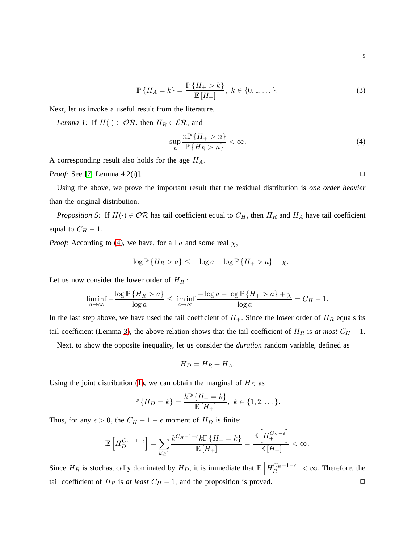9

$$
\mathbb{P}\left\{H_A = k\right\} = \frac{\mathbb{P}\left\{H_+ > k\right\}}{\mathbb{E}\left[H_+\right]}, \ k \in \{0, 1, \dots\}.
$$
\n(3)

Next, let us invoke a useful result from the literature.

*Lemma 1:* If  $H(\cdot) \in \mathcal{OR}$ , then  $H_R \in \mathcal{ER}$ , and

<span id="page-8-2"></span><span id="page-8-1"></span><span id="page-8-0"></span>
$$
\sup_{n} \frac{n \mathbb{P}\left\{H_{+} > n\right\}}{\mathbb{P}\left\{H_{R} > n\right\}} < \infty. \tag{4}
$$

A corresponding result also holds for the age  $H_A$ .

*Proof:* See [\[7,](#page-32-8) Lemma 4.2(i)].  $\square$ 

Using the above, we prove the important result that the residual distribution is *one order heavier* than the original distribution.

*Proposition 5:* If  $H(\cdot) \in \mathcal{OR}$  has tail coefficient equal to  $C_H$ , then  $H_R$  and  $H_A$  have tail coefficient equal to  $C_H - 1$ .

*Proof:* According to [\(4\)](#page-8-0), we have, for all a and some real  $\chi$ ,

$$
-\log \mathbb{P}\left\{H_R > a\right\} \le -\log a - \log \mathbb{P}\left\{H_+ > a\right\} + \chi.
$$

Let us now consider the lower order of  $H_R$ :

$$
\liminf_{a \to \infty} -\frac{\log \mathbb{P}\left\{H_R > a\right\}}{\log a} \le \liminf_{a \to \infty} \frac{-\log a - \log \mathbb{P}\left\{H_+ > a\right\} + \chi}{\log a} = C_H - 1.
$$

In the last step above, we have used the tail coefficient of  $H_+$ . Since the lower order of  $H_R$  equals its tail coefficient (Lemma [3\)](#page-6-1), the above relation shows that the tail coefficient of  $H_R$  is *at most*  $C_H - 1$ .

Next, to show the opposite inequality, let us consider the *duration* random variable, defined as

$$
H_D = H_R + H_A.
$$

Using the joint distribution [\(1\)](#page-7-3), we can obtain the marginal of  $H_D$  as

$$
\mathbb{P}\{H_D = k\} = \frac{k\mathbb{P}\{H_+ = k\}}{\mathbb{E}\left[H_+\right]}, \ k \in \{1, 2, \dots\}.
$$

Thus, for any  $\epsilon > 0$ , the  $C_H - 1 - \epsilon$  moment of  $H_D$  is finite:

$$
\mathbb{E}\left[H_D^{C_H-1-\epsilon}\right] = \sum_{k\geq 1} \frac{k^{C_H-1-\epsilon} k \mathbb{P}\left\{H_+ = k\right\}}{\mathbb{E}\left[H_+ \right]} = \frac{\mathbb{E}\left[H_+^{C_H-\epsilon}\right]}{\mathbb{E}\left[H_+ \right]} < \infty.
$$

Since  $H_R$  is stochastically dominated by  $H_D$ , it is immediate that  $\mathbb{E}\left[H_R^{C_H-1-\epsilon}\right]$  $\left\lfloor \frac{C_H - 1 - \epsilon}{R} \right\rfloor < \infty$ . Therefore, the tail coefficient of  $H_R$  is *at least*  $C_H - 1$ , and the proposition is proved.  $\Box$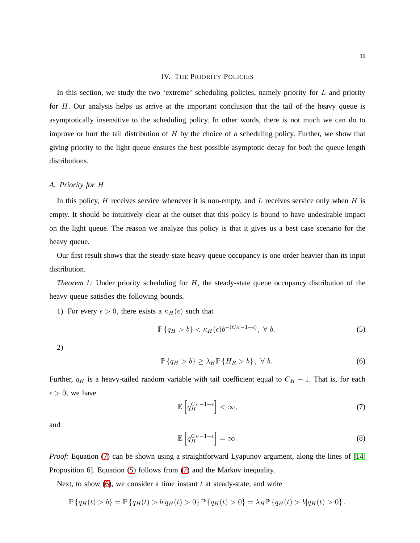## IV. THE PRIORITY POLICIES

<span id="page-9-0"></span>In this section, we study the two 'extreme' scheduling policies, namely priority for  $L$  and priority for H. Our analysis helps us arrive at the important conclusion that the tail of the heavy queue is asymptotically insensitive to the scheduling policy. In other words, there is not much we can do to improve or hurt the tail distribution of  $H$  by the choice of a scheduling policy. Further, we show that giving priority to the light queue ensures the best possible asymptotic decay for *both* the queue length distributions.

## *A. Priority for* H

In this policy,  $H$  receives service whenever it is non-empty, and  $L$  receives service only when  $H$  is empty. It should be intuitively clear at the outset that this policy is bound to have undesirable impact on the light queue. The reason we analyze this policy is that it gives us a best case scenario for the heavy queue.

<span id="page-9-5"></span>Our first result shows that the steady-state heavy queue occupancy is one order heavier than its input distribution.

*Theorem 1:* Under priority scheduling for H, the steady-state queue occupancy distribution of the heavy queue satisfies the following bounds.

1) For every  $\epsilon > 0$ , there exists a  $\kappa_H(\epsilon)$  such that

<span id="page-9-2"></span>
$$
\mathbb{P}\left\{q_H > b\right\} < \kappa_H(\epsilon) b^{-(C_H - 1 - \epsilon)}, \ \forall \ b. \tag{5}
$$

2)

<span id="page-9-3"></span>
$$
\mathbb{P}\left\{q_H > b\right\} \ge \lambda_H \mathbb{P}\left\{H_R > b\right\}, \ \forall \ b. \tag{6}
$$

Further,  $q_H$  is a heavy-tailed random variable with tail coefficient equal to  $C_H - 1$ . That is, for each  $\epsilon > 0$ , we have

<span id="page-9-1"></span>
$$
\mathbb{E}\left[q_H^{C_H-1-\epsilon}\right]<\infty,\tag{7}
$$

and

<span id="page-9-4"></span>
$$
\mathbb{E}\left[q_H^{C_H-1+\epsilon}\right] = \infty. \tag{8}
$$

*Proof:* Equation [\(7\)](#page-9-1) can be shown using a straightforward Lyapunov argument, along the lines of [\[14,](#page-33-8) Proposition 6]. Equation [\(5\)](#page-9-2) follows from [\(7\)](#page-9-1) and the Markov inequality.

Next, to show  $(6)$ , we consider a time instant t at steady-state, and write

$$
\mathbb{P}\left\{q_H(t) > b\right\} = \mathbb{P}\left\{q_H(t) > b|q_H(t) > 0\right\} \mathbb{P}\left\{q_H(t) > 0\right\} = \lambda_H \mathbb{P}\left\{q_H(t) > b|q_H(t) > 0\right\}.
$$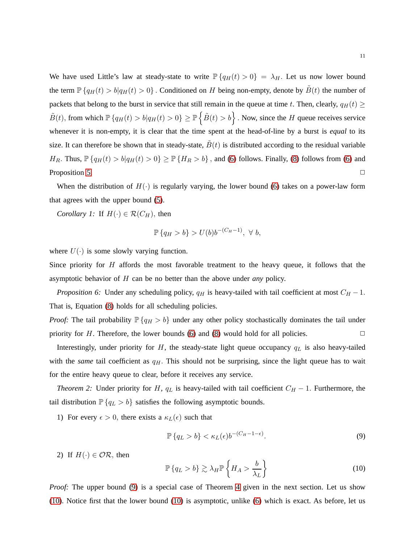We have used Little's law at steady-state to write  $\mathbb{P} \{ q_H(t) > 0 \} = \lambda_H$ . Let us now lower bound the term  $\mathbb{P}\left\{q_H(t) > b|q_H(t) > 0\right\}$ . Conditioned on H being non-empty, denote by  $\tilde{B}(t)$  the number of packets that belong to the burst in service that still remain in the queue at time t. Then, clearly,  $q_H(t) \ge$  $\tilde{B}(t)$ , from which  $\mathbb{P}\{q_H(t) > b | q_H(t) > 0\} \geq \mathbb{P}\left\{\tilde{B}(t) > b\right\}$ . Now, since the H queue receives service whenever it is non-empty, it is clear that the time spent at the head-of-line by a burst is *equal* to its size. It can therefore be shown that in steady-state,  $B(t)$  is distributed according to the residual variable  $H_R$ . Thus,  $\mathbb{P}\left\{q_H(t) > b|q_H(t) > 0\right\} \geq \mathbb{P}\left\{H_R > b\right\}$ , and [\(6\)](#page-9-3) follows. Finally, [\(8\)](#page-9-4) follows from [\(6\)](#page-9-3) and Proposition [5.](#page-8-1)  $\Box$ 

When the distribution of  $H(\cdot)$  is regularly varying, the lower bound [\(6\)](#page-9-3) takes on a power-law form that agrees with the upper bound [\(5\)](#page-9-2).

*Corollary 1:* If  $H(\cdot) \in \mathcal{R}(C_H)$ , then

<span id="page-10-2"></span>
$$
\mathbb{P}\left\{q_H > b\right\} > U(b)b^{-(C_H - 1)}, \ \forall \ b,
$$

where  $U(\cdot)$  is some slowly varying function.

Since priority for  $H$  affords the most favorable treatment to the heavy queue, it follows that the asymptotic behavior of H can be no better than the above under *any* policy.

*Proposition 6:* Under any scheduling policy,  $q_H$  is heavy-tailed with tail coefficient at most  $C_H - 1$ . That is, Equation [\(8\)](#page-9-4) holds for all scheduling policies.

*Proof:* The tail probability  $\mathbb{P}\{q_H > b\}$  under any other policy stochastically dominates the tail under priority for H. Therefore, the lower bounds [\(6\)](#page-9-3) and [\(8\)](#page-9-4) would hold for all policies.  $\Box$ 

Interestingly, under priority for  $H$ , the steady-state light queue occupancy  $q<sub>L</sub>$  is also heavy-tailed with the *same* tail coefficient as  $q<sub>H</sub>$ . This should not be surprising, since the light queue has to wait for the entire heavy queue to clear, before it receives any service.

*Theorem 2:* Under priority for H,  $q_L$  is heavy-tailed with tail coefficient  $C_H - 1$ . Furthermore, the tail distribution  $\mathbb{P}\{q_L > b\}$  satisfies the following asymptotic bounds.

1) For every  $\epsilon > 0$ , there exists a  $\kappa_L(\epsilon)$  such that

<span id="page-10-0"></span>
$$
\mathbb{P}\left\{q_L > b\right\} < \kappa_L(\epsilon) b^{-(C_H - 1 - \epsilon)}.\tag{9}
$$

2) If  $H(\cdot) \in \mathcal{OR}$ , then

<span id="page-10-1"></span>
$$
\mathbb{P}\left\{q_L > b\right\} \gtrsim \lambda_H \mathbb{P}\left\{H_A > \frac{b}{\lambda_L}\right\} \tag{10}
$$

*Proof:* The upper bound [\(9\)](#page-10-0) is a special case of Theorem [4](#page-13-0) given in the next section. Let us show [\(10\)](#page-10-1). Notice first that the lower bound [\(10\)](#page-10-1) is asymptotic, unlike [\(6\)](#page-9-3) which is exact. As before, let us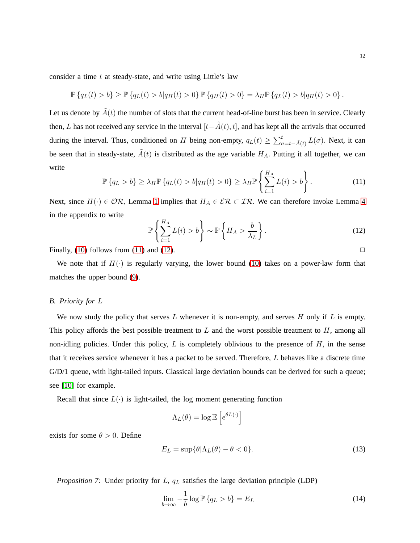consider a time  $t$  at steady-state, and write using Little's law

$$
\mathbb{P}\left\{q_L(t) > b\right\} \ge \mathbb{P}\left\{q_L(t) > b|q_H(t) > 0\right\} \mathbb{P}\left\{q_H(t) > 0\right\} = \lambda_H \mathbb{P}\left\{q_L(t) > b|q_H(t) > 0\right\}.
$$

Let us denote by  $\tilde{A}(t)$  the number of slots that the current head-of-line burst has been in service. Clearly then, L has not received any service in the interval  $[t-\tilde{A}(t), t]$ , and has kept all the arrivals that occurred during the interval. Thus, conditioned on H being non-empty,  $q_L(t) \ge \sum_{\sigma=t-\tilde{A}(t)}^t L(\sigma)$ . Next, it can be seen that in steady-state,  $\tilde{A}(t)$  is distributed as the age variable  $H_A$ . Putting it all together, we can write

<span id="page-11-0"></span>
$$
\mathbb{P}\left\{q_L > b\right\} \ge \lambda_H \mathbb{P}\left\{q_L(t) > b|q_H(t) > 0\right\} \ge \lambda_H \mathbb{P}\left\{\sum_{i=1}^{H_A} L(i) > b\right\}.
$$
\n(11)

Next, since  $H(\cdot) \in \mathcal{OR}$ , Lemma [1](#page-8-2) implies that  $H_A \in \mathcal{ER} \subset \mathcal{IR}$ . We can therefore invoke Lemma [4](#page-28-0) in the appendix to write

<span id="page-11-1"></span>
$$
\mathbb{P}\left\{\sum_{i=1}^{H_A} L(i) > b\right\} \sim \mathbb{P}\left\{H_A > \frac{b}{\lambda_L}\right\}.\tag{12}
$$

Finally, [\(10\)](#page-10-1) follows from [\(11\)](#page-11-0) and [\(12\)](#page-11-1).  $\Box$ 

We note that if  $H(\cdot)$  is regularly varying, the lower bound [\(10\)](#page-10-1) takes on a power-law form that matches the upper bound [\(9\)](#page-10-0).

## *B. Priority for* L

We now study the policy that serves  $L$  whenever it is non-empty, and serves  $H$  only if  $L$  is empty. This policy affords the best possible treatment to  $L$  and the worst possible treatment to  $H$ , among all non-idling policies. Under this policy,  $L$  is completely oblivious to the presence of  $H$ , in the sense that it receives service whenever it has a packet to be served. Therefore, L behaves like a discrete time G/D/1 queue, with light-tailed inputs. Classical large deviation bounds can be derived for such a queue; see [\[10\]](#page-32-10) for example.

Recall that since  $L(\cdot)$  is light-tailed, the log moment generating function

$$
\Lambda_L(\theta) = \log \mathbb{E}\left[e^{\theta L(\cdot)}\right]
$$

exists for some  $\theta > 0$ . Define

<span id="page-11-2"></span>
$$
E_L = \sup \{ \theta | \Lambda_L(\theta) - \theta < 0 \}. \tag{13}
$$

*Proposition 7:* Under priority for  $L$ ,  $q_L$  satisfies the large deviation principle (LDP)

<span id="page-11-3"></span>
$$
\lim_{b \to \infty} -\frac{1}{b} \log \mathbb{P} \left\{ q_L > b \right\} = E_L \tag{14}
$$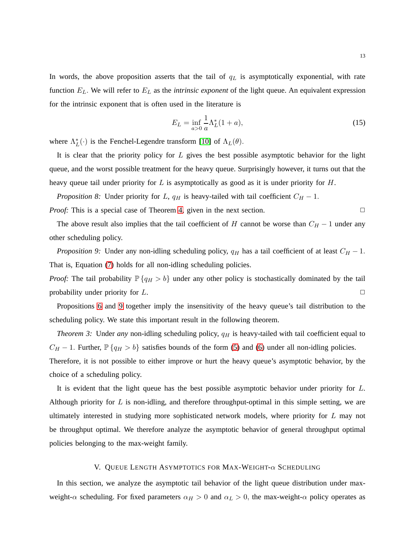In words, the above proposition asserts that the tail of  $q<sub>L</sub>$  is asymptotically exponential, with rate function  $E_L$ . We will refer to  $E_L$  as the *intrinsic exponent* of the light queue. An equivalent expression for the intrinsic exponent that is often used in the literature is

<span id="page-12-2"></span>
$$
E_L = \inf_{a>0} \frac{1}{a} \Lambda_L^*(1+a),
$$
\n(15)

where  $\Lambda_L^*(\cdot)$  is the Fenchel-Legendre transform [\[10\]](#page-32-10) of  $\Lambda_L(\theta)$ .

It is clear that the priority policy for L gives the best possible asymptotic behavior for the light queue, and the worst possible treatment for the heavy queue. Surprisingly however, it turns out that the heavy queue tail under priority for  $L$  is asymptotically as good as it is under priority for  $H$ .

*Proposition 8:* Under priority for L,  $q_H$  is heavy-tailed with tail coefficient  $C_H - 1$ .

*Proof:* This is a special case of Theorem [4,](#page-13-0) given in the next section.

<span id="page-12-1"></span>The above result also implies that the tail coefficient of H cannot be worse than  $C_H - 1$  under any other scheduling policy.

*Proposition 9:* Under any non-idling scheduling policy,  $q_H$  has a tail coefficient of at least  $C_H - 1$ . That is, Equation [\(7\)](#page-9-1) holds for all non-idling scheduling policies.

*Proof:* The tail probability  $\mathbb{P}\{q_H > b\}$  under any other policy is stochastically dominated by the tail probability under priority for L.  $\Box$ 

Propositions [6](#page-10-2) and [9](#page-12-1) together imply the insensitivity of the heavy queue's tail distribution to the scheduling policy. We state this important result in the following theorem.

*Theorem 3:* Under *any* non-idling scheduling policy,  $q_H$  is heavy-tailed with tail coefficient equal to  $C_H - 1$ . Further,  $\mathbb{P} \{ q_H > b \}$  satisfies bounds of the form [\(5\)](#page-9-2) and [\(6\)](#page-9-3) under all non-idling policies. Therefore, it is not possible to either improve or hurt the heavy queue's asymptotic behavior, by the choice of a scheduling policy.

It is evident that the light queue has the best possible asymptotic behavior under priority for L. Although priority for  $L$  is non-idling, and therefore throughput-optimal in this simple setting, we are ultimately interested in studying more sophisticated network models, where priority for  $L$  may not be throughput optimal. We therefore analyze the asymptotic behavior of general throughput optimal policies belonging to the max-weight family.

#### V. QUEUE LENGTH ASYMPTOTICS FOR MAX-WEIGHT- $\alpha$  SCHEDULING

<span id="page-12-0"></span>In this section, we analyze the asymptotic tail behavior of the light queue distribution under maxweight- $\alpha$  scheduling. For fixed parameters  $\alpha_H > 0$  and  $\alpha_L > 0$ , the max-weight- $\alpha$  policy operates as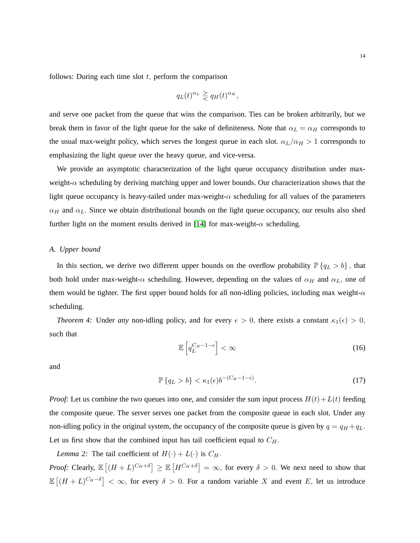follows: During each time slot  $t$ , perform the comparison

$$
q_L(t)^{\alpha_L} \geq q_H(t)^{\alpha_H},
$$

and serve one packet from the queue that wins the comparison. Ties can be broken arbitrarily, but we break them in favor of the light queue for the sake of definiteness. Note that  $\alpha_L = \alpha_H$  corresponds to the usual max-weight policy, which serves the longest queue in each slot.  $\alpha_L/\alpha_H > 1$  corresponds to emphasizing the light queue over the heavy queue, and vice-versa.

We provide an asymptotic characterization of the light queue occupancy distribution under maxweight-α scheduling by deriving matching upper and lower bounds. Our characterization shows that the light queue occupancy is heavy-tailed under max-weight- $\alpha$  scheduling for all values of the parameters  $\alpha_H$  and  $\alpha_L$ . Since we obtain distributional bounds on the light queue occupancy, our results also shed further light on the moment results derived in [\[14\]](#page-33-8) for max-weight- $\alpha$  scheduling.

## *A. Upper bound*

In this section, we derive two different upper bounds on the overflow probability  $\mathbb{P}\{q_L > b\}$ , that both hold under max-weight- $\alpha$  scheduling. However, depending on the values of  $\alpha_H$  and  $\alpha_L$ , one of them would be tighter. The first upper bound holds for all non-idling policies, including max weight- $\alpha$ scheduling.

<span id="page-13-0"></span>*Theorem 4:* Under *any* non-idling policy, and for every  $\epsilon > 0$ , there exists a constant  $\kappa_1(\epsilon) > 0$ , such that

<span id="page-13-1"></span>
$$
\mathbb{E}\left[q_L^{C_H-1-\epsilon}\right] < \infty \tag{16}
$$

and

<span id="page-13-2"></span>
$$
\mathbb{P}\left\{q_L > b\right\} < \kappa_1(\epsilon) b^{-(C_H - 1 - \epsilon)}.\tag{17}
$$

*Proof:* Let us combine the two queues into one, and consider the sum input process  $H(t) + L(t)$  feeding the composite queue. The server serves one packet from the composite queue in each slot. Under any non-idling policy in the original system, the occupancy of the composite queue is given by  $q = q_H + q_L$ . Let us first show that the combined input has tail coefficient equal to  $C_H$ .

*Lemma 2:* The tail coefficient of  $H(\cdot) + L(\cdot)$  is  $C_H$ . *Proof:* Clearly,  $\mathbb{E}[(H+L)^{C_H+\delta}] \geq \mathbb{E}[H^{C_H+\delta}] = \infty$ , for every  $\delta > 0$ . We next need to show that  $\mathbb{E}[(H+L)^{C_H-\delta}] < \infty$ , for every  $\delta > 0$ . For a random variable X and event E, let us introduce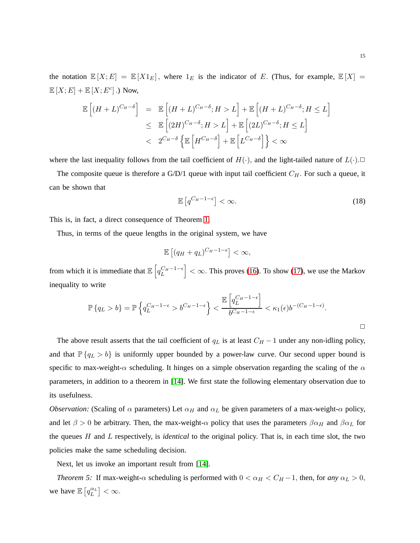the notation  $\mathbb{E}[X; E] = \mathbb{E}[X \cdot 1_E]$ , where  $1_E$  is the indicator of E. (Thus, for example,  $\mathbb{E}[X] =$  $\mathbb{E}[X;E] + \mathbb{E}[X;E^c]$ .) Now,

$$
\mathbb{E}\left[ (H+L)^{C_H-\delta} \right] = \mathbb{E}\left[ (H+L)^{C_H-\delta}; H > L \right] + \mathbb{E}\left[ (H+L)^{C_H-\delta}; H \leq L \right]
$$
  
\n
$$
\leq \mathbb{E}\left[ (2H)^{C_H-\delta}; H > L \right] + \mathbb{E}\left[ (2L)^{C_H-\delta}; H \leq L \right]
$$
  
\n
$$
< 2^{C_H-\delta} \left\{ \mathbb{E}\left[ H^{C_H-\delta} \right] + \mathbb{E}\left[ L^{C_H-\delta} \right] \right\} < \infty
$$

where the last inequality follows from the tail coefficient of  $H(\cdot)$ , and the light-tailed nature of  $L(\cdot)$ .

The composite queue is therefore a G/D/1 queue with input tail coefficient  $C_H$ . For such a queue, it can be shown that

$$
\mathbb{E}\left[q^{C_H-1-\epsilon}\right]<\infty.\tag{18}
$$

This is, in fact, a direct consequence of Theorem [1.](#page-9-5)

Thus, in terms of the queue lengths in the original system, we have

$$
\mathbb{E}\left[ (q_H + q_L)^{C_H - 1 - \epsilon} \right] < \infty,
$$

from which it is immediate that  $\mathbb{E}\left[q_L^{C_H-1-\epsilon}\right]$  $\begin{bmatrix} C_H-1-\epsilon \\ L \end{bmatrix} < \infty$ . This proves [\(16\)](#page-13-1). To show [\(17\)](#page-13-2), we use the Markov inequality to write

$$
\mathbb{P}\left\{q_L > b\right\} = \mathbb{P}\left\{q_L^{C_H - 1 - \epsilon} > b^{C_H - 1 - \epsilon}\right\} < \frac{\mathbb{E}\left[q_L^{C_H - 1 - \epsilon}\right]}{b^{C_H - 1 - \epsilon}} < \kappa_1(\epsilon)b^{-(C_H - 1 - \epsilon)}.
$$

The above result asserts that the tail coefficient of  $q<sub>L</sub>$  is at least  $C_H - 1$  under any non-idling policy, and that  $\mathbb{P}\{q_L > b\}$  is uniformly upper bounded by a power-law curve. Our second upper bound is specific to max-weight- $\alpha$  scheduling. It hinges on a simple observation regarding the scaling of the  $\alpha$ parameters, in addition to a theorem in [\[14\]](#page-33-8). We first state the following elementary observation due to its usefulness.

*Observation:* (Scaling of  $\alpha$  parameters) Let  $\alpha_H$  and  $\alpha_L$  be given parameters of a max-weight- $\alpha$  policy, and let  $\beta > 0$  be arbitrary. Then, the max-weight- $\alpha$  policy that uses the parameters  $\beta \alpha_H$  and  $\beta \alpha_L$  for the queues H and L respectively, is *identical* to the original policy. That is, in each time slot, the two policies make the same scheduling decision.

<span id="page-14-0"></span>Next, let us invoke an important result from [\[14\]](#page-33-8).

*Theorem 5:* If max-weight- $\alpha$  scheduling is performed with  $0 < \alpha_H < C_H - 1$ , then, for *any*  $\alpha_L > 0$ , we have  $\mathbb{E}\left[q_{L}^{\alpha_{L}}\right]$  $\left[\begin{smallmatrix} \alpha_L \ L \end{smallmatrix}\right] < \infty.$ 

 $\Box$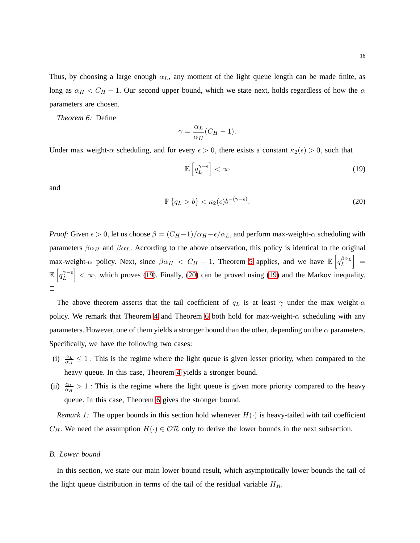Thus, by choosing a large enough  $\alpha_L$ , any moment of the light queue length can be made finite, as long as  $\alpha_H < C_H - 1$ . Our second upper bound, which we state next, holds regardless of how the  $\alpha$ parameters are chosen.

*Theorem 6:* Define

$$
\gamma = \frac{\alpha_L}{\alpha_H} (C_H - 1).
$$

Under max weight- $\alpha$  scheduling, and for every  $\epsilon > 0$ , there exists a constant  $\kappa_2(\epsilon) > 0$ , such that

<span id="page-15-0"></span>
$$
\mathbb{E}\left[q_L^{\gamma-\epsilon}\right] < \infty \tag{19}
$$

and

<span id="page-15-1"></span>
$$
\mathbb{P}\left\{q_L > b\right\} < \kappa_2(\epsilon) b^{-(\gamma - \epsilon)}.\tag{20}
$$

*Proof:* Given  $\epsilon > 0$ , let us choose  $\beta = (C_H - 1)/\alpha_H - \epsilon/\alpha_L$ , and perform max-weight- $\alpha$  scheduling with parameters  $\beta \alpha_H$  and  $\beta \alpha_L$ . According to the above observation, this policy is identical to the original max-weight- $\alpha$  policy. Next, since  $\beta \alpha_H \langle C_H - 1 \rangle$ , Theorem [5](#page-14-0) applies, and we have  $\mathbb{E} \left[ q_L^{\beta \alpha_L} \right]$  $\left[\begin{array}{c} \beta \alpha_L \ L \end{array}\right] =$  $\mathbb{E}\left[q_{L}^{\gamma-\epsilon}\right]$  $\left[\frac{\gamma-\epsilon}{L}\right]<\infty$ , which proves [\(19\)](#page-15-0). Finally, [\(20\)](#page-15-1) can be proved using (19) and the Markov inequality.  $\Box$ 

The above theorem asserts that the tail coefficient of  $q_L$  is at least  $\gamma$  under the max weight- $\alpha$ policy. We remark that Theorem [4](#page-13-0) and Theorem [6](#page-15-1) both hold for max-weight- $\alpha$  scheduling with any parameters. However, one of them yields a stronger bound than the other, depending on the  $\alpha$  parameters. Specifically, we have the following two cases:

- (i)  $\frac{\alpha_L}{\alpha_H} \leq 1$ : This is the regime where the light queue is given lesser priority, when compared to the heavy queue. In this case, Theorem [4](#page-13-0) yields a stronger bound.
- (ii)  $\frac{\alpha_L}{\alpha_H} > 1$ : This is the regime where the light queue is given more priority compared to the heavy queue. In this case, Theorem [6](#page-15-1) gives the stronger bound.

*Remark 1:* The upper bounds in this section hold whenever  $H(\cdot)$  is heavy-tailed with tail coefficient  $C_H$ . We need the assumption  $H(\cdot) \in \mathcal{OR}$  only to derive the lower bounds in the next subsection.

#### *B. Lower bound*

<span id="page-15-2"></span>In this section, we state our main lower bound result, which asymptotically lower bounds the tail of the light queue distribution in terms of the tail of the residual variable  $H_R$ .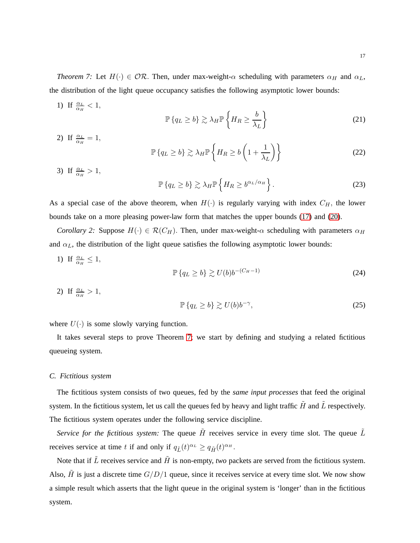*Theorem 7:* Let  $H(\cdot) \in \mathcal{OR}$ . Then, under max-weight- $\alpha$  scheduling with parameters  $\alpha_H$  and  $\alpha_L$ , the distribution of the light queue occupancy satisfies the following asymptotic lower bounds:

1) If  $\frac{\alpha_L}{\alpha_H} < 1$ ,  $\mathbb{P} \left\{ q_L \geq b \right\} \gtrsim \lambda_H \mathbb{P} \left\{ 0 \right\}$  $H_R \geq \frac{b}{b}$  $\lambda_L$  $\mathcal{L}$ (21) 2) If  $\frac{\alpha_L}{\alpha_H} = 1$ ,

<span id="page-16-3"></span><span id="page-16-0"></span>
$$
\mathbb{P}\left\{q_L \geq b\right\} \gtrsim \lambda_H \mathbb{P}\left\{H_R \geq b\left(1 + \frac{1}{\lambda_L}\right)\right\} \tag{22}
$$

3) If  $\frac{\alpha_L}{\alpha_H} > 1$ ,

<span id="page-16-1"></span>
$$
\mathbb{P}\left\{q_L \geq b\right\} \gtrsim \lambda_H \mathbb{P}\left\{H_R \geq b^{\alpha_L/\alpha_H}\right\}.
$$
 (23)

As a special case of the above theorem, when  $H(\cdot)$  is regularly varying with index  $C_H$ , the lower bounds take on a more pleasing power-law form that matches the upper bounds [\(17\)](#page-13-2) and [\(20\)](#page-15-1).

*Corollary 2:* Suppose  $H(\cdot) \in \mathcal{R}(C_H)$ . Then, under max-weight- $\alpha$  scheduling with parameters  $\alpha_H$ and  $\alpha_L$ , the distribution of the light queue satisfies the following asymptotic lower bounds:

- 1) If  $\frac{\alpha_L}{\alpha_H} \leq 1$ ,  $\mathbb{P}\{q_L \geq b\} \gtrsim U(b)b^{-(C_H - 1)}$  (24)
- 2) If  $\frac{\alpha_L}{\alpha_H} > 1$ ,

$$
\mathbb{P}\left\{q_L \geq b\right\} \gtrsim U(b)b^{-\gamma},\tag{25}
$$

where  $U(\cdot)$  is some slowly varying function.

It takes several steps to prove Theorem [7;](#page-15-2) we start by defining and studying a related fictitious queueing system.

#### *C. Fictitious system*

The fictitious system consists of two queues, fed by the *same input processes* that feed the original system. In the fictitious system, let us call the queues fed by heavy and light traffic  $H$  and  $\overline{L}$  respectively. The fictitious system operates under the following service discipline.

*Service for the fictitious system:* The queue  $\tilde{H}$  receives service in every time slot. The queue  $\tilde{L}$ receives service at time t if and only if  $q_{\tilde{L}}(t)^{\alpha_L} \geq q_{\tilde{H}}(t)^{\alpha_H}$ .

<span id="page-16-2"></span>Note that if  $\tilde{L}$  receives service and  $\tilde{H}$  is non-empty, *two* packets are served from the fictitious system. Also, H is just a discrete time  $G/D/1$  queue, since it receives service at every time slot. We now show a simple result which asserts that the light queue in the original system is 'longer' than in the fictitious system.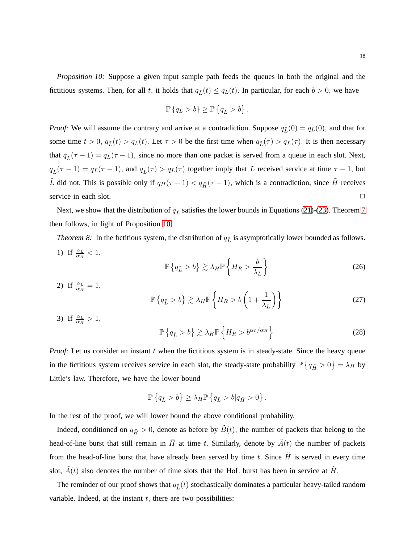*Proposition 10:* Suppose a given input sample path feeds the queues in both the original and the fictitious systems. Then, for all t, it holds that  $q_{\tilde{L}}(t) \leq q_L(t)$ . In particular, for each  $b > 0$ , we have

$$
\mathbb{P}\left\{q_L > b\right\} \ge \mathbb{P}\left\{q_{\tilde{L}} > b\right\}.
$$

*Proof:* We will assume the contrary and arrive at a contradiction. Suppose  $q_{\tilde{L}}(0) = q_L(0)$ , and that for some time  $t > 0$ ,  $q_{\tilde{L}}(t) > q_{L}(t)$ . Let  $\tau > 0$  be the first time when  $q_{\tilde{L}}(\tau) > q_{L}(\tau)$ . It is then necessary that  $q_{\tilde{L}}(\tau - 1) = q_L(\tau - 1)$ , since no more than one packet is served from a queue in each slot. Next,  $q_{\tilde{L}}(\tau - 1) = q_L(\tau - 1)$ , and  $q_{\tilde{L}}(\tau) > q_L(\tau)$  together imply that L received service at time  $\tau - 1$ , but  $\tilde{L}$  did not. This is possible only if  $q_H(\tau - 1) < q_{\tilde{H}}(\tau - 1)$ , which is a contradiction, since  $\tilde{H}$  receives service in each slot.

<span id="page-17-0"></span>Next, we show that the distribution of  $q_{\tilde{L}}$  satisfies the lower bounds in Equations [\(21\)](#page-16-0)-[\(23\)](#page-16-1). Theorem [7](#page-15-2) then follows, in light of Proposition [10.](#page-16-2)

*Theorem 8:* In the fictitious system, the distribution of  $q_{\tilde{L}}$  is asymptotically lower bounded as follows.

1) If  $\frac{\alpha_L}{\alpha_H} < 1$ ,  $\mathbb{P}\left\{q_{\tilde{L}}>b\right\} \gtrsim \lambda_H\mathbb{P}\left\{$  $H_R > \frac{b}{b}$  $\lambda_L$  $\mathcal{L}$ (26) 2) If  $\frac{\alpha_L}{\alpha_H} = 1$ ,

$$
\mathbb{P}\left\{q_{\tilde{L}} > b\right\} \gtrsim \lambda_H \mathbb{P}\left\{H_R > b\left(1 + \frac{1}{\lambda_L}\right)\right\} \tag{27}
$$

3) If 
$$
\frac{\alpha_L}{\alpha_H} > 1
$$
,  

$$
\mathbb{P}\left\{q_{\tilde{L}} > b\right\} \gtrsim \lambda_H \mathbb{P}\left\{H_R > b^{\alpha_L/\alpha_H}\right\}
$$
(28)

*Proof:* Let us consider an instant t when the fictitious system is in steady-state. Since the heavy queue in the fictitious system receives service in each slot, the steady-state probability  $\mathbb{P}\left\{q_{\tilde{H}} > 0\right\} = \lambda_H$  by Little's law. Therefore, we have the lower bound

$$
\mathbb{P}\left\{q_{\tilde{L}} > b\right\} \geq \lambda_H \mathbb{P}\left\{q_{\tilde{L}} > b|q_{\tilde{H}} > 0\right\}.
$$

In the rest of the proof, we will lower bound the above conditional probability.

Indeed, conditioned on  $q_{\tilde{H}} > 0$ , denote as before by  $\tilde{B}(t)$ , the number of packets that belong to the head-of-line burst that still remain in  $\tilde{H}$  at time t. Similarly, denote by  $\tilde{A}(t)$  the number of packets from the head-of-line burst that have already been served by time t. Since  $\tilde{H}$  is served in every time slot,  $\tilde{A}(t)$  also denotes the number of time slots that the HoL burst has been in service at  $\tilde{H}$ .

The reminder of our proof shows that  $q_{\tilde{L}}(t)$  stochastically dominates a particular heavy-tailed random variable. Indeed, at the instant  $t$ , there are two possibilities: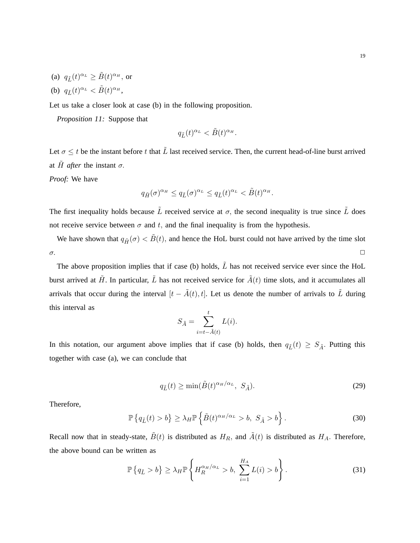- (a)  $q_{\tilde{L}}(t)^{\alpha_L} \geq \tilde{B}(t)^{\alpha_H}$ , or
- (b)  $q_{\tilde{L}}(t)^{\alpha_L} < \tilde{B}(t)^{\alpha_H}$ ,

Let us take a closer look at case (b) in the following proposition.

*Proposition 11:* Suppose that

$$
q_{\tilde{L}}(t)^{\alpha_L} < \tilde{B}(t)^{\alpha_H}.
$$

Let  $\sigma \leq t$  be the instant before t that  $\tilde{L}$  last received service. Then, the current head-of-line burst arrived at H *after* the instant  $\sigma$ .

*Proof:* We have

$$
q_{\tilde{H}}(\sigma)^{\alpha_H}\leq q_{\tilde{L}}(\sigma)^{\alpha_L}\leq q_{\tilde{L}}(t)^{\alpha_L}<\tilde{B}(t)^{\alpha_H}.
$$

The first inequality holds because  $\tilde{L}$  received service at  $\sigma$ , the second inequality is true since  $\tilde{L}$  does not receive service between  $\sigma$  and  $t$ , and the final inequality is from the hypothesis.

We have shown that  $q_{\tilde{H}}(\sigma) < \tilde{B}(t)$ , and hence the HoL burst could not have arrived by the time slot  $\sigma$ .

The above proposition implies that if case (b) holds,  $\tilde{L}$  has not received service ever since the HoL burst arrived at  $\tilde{H}$ . In particular,  $\tilde{L}$  has not received service for  $\tilde{A}(t)$  time slots, and it accumulates all arrivals that occur during the interval  $[t - \tilde{A}(t), t]$ . Let us denote the number of arrivals to  $\tilde{L}$  during this interval as

$$
S_{\tilde{A}} = \sum_{i=t-\tilde{A}(t)}^{t} L(i).
$$

In this notation, our argument above implies that if case (b) holds, then  $q_{\tilde{L}}(t) \geq S_{\tilde{A}}$ . Putting this together with case (a), we can conclude that

$$
q_{\tilde{L}}(t) \ge \min(\tilde{B}(t)^{\alpha_H/\alpha_L}, S_{\tilde{A}}). \tag{29}
$$

Therefore,

$$
\mathbb{P}\left\{q_{\tilde{L}}(t) > b\right\} \ge \lambda_H \mathbb{P}\left\{\tilde{B}(t)^{\alpha_H/\alpha_L} > b, \ S_{\tilde{A}} > b\right\}.
$$
\n(30)

Recall now that in steady-state,  $B(t)$  is distributed as  $H_R$ , and  $\overline{A}(t)$  is distributed as  $H_A$ . Therefore, the above bound can be written as

<span id="page-18-0"></span>
$$
\mathbb{P}\left\{q_{\tilde{L}} > b\right\} \ge \lambda_H \mathbb{P}\left\{H_R^{\alpha_H/\alpha_L} > b, \sum_{i=1}^{H_A} L(i) > b\right\}.
$$
\n(31)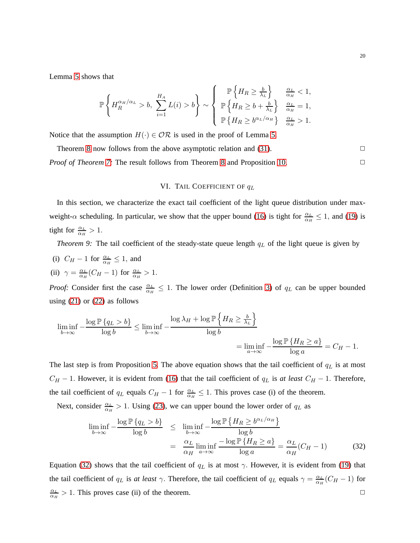Lemma [5](#page-29-0) shows that

$$
\mathbb{P}\left\{H_R^{\alpha_H/\alpha_L} > b, \sum_{i=1}^{H_A} L(i) > b\right\} \sim \left\{\begin{array}{cc} \mathbb{P}\left\{H_R \geq \frac{b}{\lambda_L}\right\} & \frac{\alpha_L}{\alpha_H} < 1, \\ \mathbb{P}\left\{H_R \geq b + \frac{b}{\lambda_L}\right\} & \frac{\alpha_L}{\alpha_H} = 1, \\ \mathbb{P}\left\{H_R \geq b^{\alpha_L/\alpha_H}\right\} & \frac{\alpha_L}{\alpha_H} > 1. \end{array}\right.
$$

Notice that the assumption  $H(\cdot) \in \mathcal{OR}$  is used in the proof of Lemma [5.](#page-29-0)

Theorem [8](#page-17-0) now follows from the above asymptotic relation and  $(31)$ . *Proof of Theorem [7:](#page-15-2)* The result follows from Theorem [8](#page-17-0) and Proposition [10.](#page-16-2) □

#### VI. TAIL COEFFICIENT OF  $q_L$

In this section, we characterize the exact tail coefficient of the light queue distribution under maxweight- $\alpha$  scheduling. In particular, we show that the upper bound [\(16\)](#page-13-1) is tight for  $\frac{\alpha_L}{\alpha_H} \le 1$ , and [\(19\)](#page-15-0) is tight for  $\frac{\alpha_L}{\alpha_H} > 1$ .

<span id="page-19-1"></span>*Theorem 9:* The tail coefficient of the steady-state queue length  $q_L$  of the light queue is given by

(i)  $C_H - 1$  for  $\frac{\alpha_L}{\alpha_H} \leq 1$ , and (ii)  $\gamma = \frac{\alpha_L}{\alpha_H}$  $\frac{\alpha_L}{\alpha_H}(C_H - 1)$  for  $\frac{\alpha_L}{\alpha_H} > 1$ .

*Proof:* Consider first the case  $\frac{\alpha_L}{\alpha_H} \leq 1$ . The lower order (Definition [3\)](#page-5-1) of  $q_L$  can be upper bounded using  $(21)$  or  $(22)$  as follows

$$
\liminf_{b \to \infty} -\frac{\log \mathbb{P}\{q_L > b\}}{\log b} \le \liminf_{b \to \infty} -\frac{\log \lambda_H + \log \mathbb{P}\left\{H_R \ge \frac{b}{\lambda_L}\right\}}{\log b} = \liminf_{a \to \infty} -\frac{\log \mathbb{P}\left\{H_R \ge a\right\}}{\log a} = C_H - 1.
$$

The last step is from Proposition [5.](#page-8-1) The above equation shows that the tail coefficient of  $q_L$  is at most  $C_H - 1$ . However, it is evident from [\(16\)](#page-13-1) that the tail coefficient of  $q_L$  is *at least*  $C_H - 1$ . Therefore, the tail coefficient of  $q_L$  equals  $C_H - 1$  for  $\frac{\alpha_L}{\alpha_H} \leq 1$ . This proves case (i) of the theorem.

Next, consider  $\frac{\alpha_L}{\alpha_H} > 1$ . Using [\(23\)](#page-16-1), we can upper bound the lower order of  $q_L$  as

<span id="page-19-0"></span>
$$
\liminf_{b \to \infty} -\frac{\log \mathbb{P}\left\{q_L > b\right\}}{\log b} \leq \liminf_{b \to \infty} -\frac{\log \mathbb{P}\left\{H_R \geq b^{\alpha_L/\alpha_H}\right\}}{\log b} = \frac{\alpha_L}{\alpha_H} \liminf_{a \to \infty} \frac{-\log \mathbb{P}\left\{H_R \geq a\right\}}{\log a} = \frac{\alpha_L}{\alpha_H} (C_H - 1) \tag{32}
$$

Equation [\(32\)](#page-19-0) shows that the tail coefficient of  $q_L$  is at most  $\gamma$ . However, it is evident from [\(19\)](#page-15-0) that the tail coefficient of  $q_L$  is *at least*  $\gamma$ . Therefore, the tail coefficient of  $q_L$  equals  $\gamma = \frac{\alpha_L}{\alpha_H}$  $\frac{\alpha_L}{\alpha_H}(C_H-1)$  for  $\alpha_L$  $\frac{\alpha_L}{\alpha_H} > 1$ . This proves case (ii) of the theorem.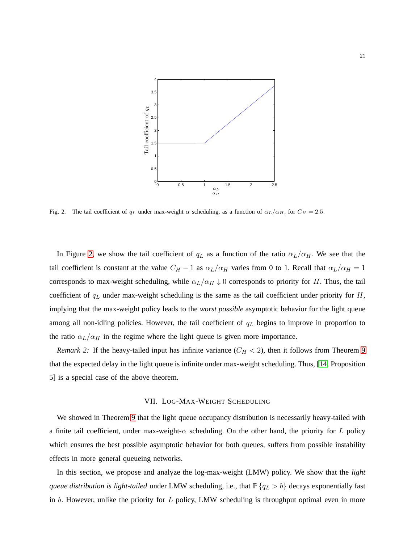

<span id="page-20-1"></span>Fig. 2. The tail coefficient of  $q_L$  under max-weight  $\alpha$  scheduling, as a function of  $\alpha_L/\alpha_H$ , for  $C_H = 2.5$ .

In Figure [2,](#page-20-1) we show the tail coefficient of  $q_L$  as a function of the ratio  $\alpha_L/\alpha_H$ . We see that the tail coefficient is constant at the value  $C_H - 1$  as  $\alpha_L/\alpha_H$  varies from 0 to 1. Recall that  $\alpha_L/\alpha_H = 1$ corresponds to max-weight scheduling, while  $\alpha_L/\alpha_H \downarrow 0$  corresponds to priority for H. Thus, the tail coefficient of  $q_L$  under max-weight scheduling is the same as the tail coefficient under priority for  $H$ , implying that the max-weight policy leads to the *worst possible* asymptotic behavior for the light queue among all non-idling policies. However, the tail coefficient of  $q<sub>L</sub>$  begins to improve in proportion to the ratio  $\alpha_L/\alpha_H$  in the regime where the light queue is given more importance.

<span id="page-20-0"></span>*Remark 2:* If the heavy-tailed input has infinite variance  $(C_H < 2)$ , then it follows from Theorem [9](#page-19-1) that the expected delay in the light queue is infinite under max-weight scheduling. Thus, [\[14,](#page-33-8) Proposition 5] is a special case of the above theorem.

### VII. LOG-MAX-WEIGHT SCHEDULING

We showed in Theorem [9](#page-19-1) that the light queue occupancy distribution is necessarily heavy-tailed with a finite tail coefficient, under max-weight- $\alpha$  scheduling. On the other hand, the priority for L policy which ensures the best possible asymptotic behavior for both queues, suffers from possible instability effects in more general queueing networks.

In this section, we propose and analyze the log-max-weight (LMW) policy. We show that the *light queue distribution is light-tailed* under LMW scheduling, i.e., that  $\mathbb{P}\{q_L > b\}$  decays exponentially fast in b. However, unlike the priority for  $L$  policy, LMW scheduling is throughput optimal even in more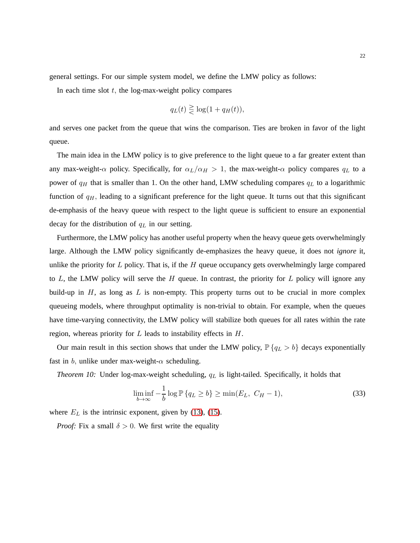general settings. For our simple system model, we define the LMW policy as follows:

In each time slot  $t$ , the log-max-weight policy compares

$$
q_L(t) \geq \log(1 + q_H(t)),
$$

and serves one packet from the queue that wins the comparison. Ties are broken in favor of the light queue.

The main idea in the LMW policy is to give preference to the light queue to a far greater extent than any max-weight- $\alpha$  policy. Specifically, for  $\alpha_L/\alpha_H > 1$ , the max-weight- $\alpha$  policy compares  $q_L$  to a power of  $q_H$  that is smaller than 1. On the other hand, LMW scheduling compares  $q_L$  to a logarithmic function of  $q_H$ , leading to a significant preference for the light queue. It turns out that this significant de-emphasis of the heavy queue with respect to the light queue is sufficient to ensure an exponential decay for the distribution of  $q_L$  in our setting.

Furthermore, the LMW policy has another useful property when the heavy queue gets overwhelmingly large. Although the LMW policy significantly de-emphasizes the heavy queue, it does not *ignore* it, unlike the priority for  $L$  policy. That is, if the  $H$  queue occupancy gets overwhelmingly large compared to  $L$ , the LMW policy will serve the  $H$  queue. In contrast, the priority for  $L$  policy will ignore any build-up in  $H$ , as long as  $L$  is non-empty. This property turns out to be crucial in more complex queueing models, where throughput optimality is non-trivial to obtain. For example, when the queues have time-varying connectivity, the LMW policy will stabilize both queues for all rates within the rate region, whereas priority for  $L$  leads to instability effects in  $H$ .

<span id="page-21-0"></span>Our main result in this section shows that under the LMW policy,  $\mathbb{P}\{q_L > b\}$  decays exponentially fast in b, unlike under max-weight- $\alpha$  scheduling.

*Theorem 10:* Under log-max-weight scheduling,  $q_L$  is light-tailed. Specifically, it holds that

$$
\liminf_{b \to \infty} -\frac{1}{b} \log \mathbb{P} \{ q_L \ge b \} \ge \min(E_L, C_H - 1), \tag{33}
$$

where  $E<sub>L</sub>$  is the intrinsic exponent, given by [\(13\)](#page-11-2), [\(15\)](#page-12-2).

*Proof:* Fix a small  $\delta > 0$ . We first write the equality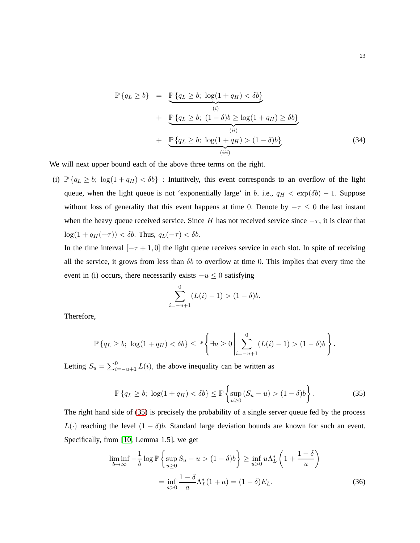<span id="page-22-2"></span>
$$
\mathbb{P}\left\{q_L \geq b\right\} = \underbrace{\mathbb{P}\left\{q_L \geq b; \log(1 + q_H) < \delta b\right\}}_{(i)} + \underbrace{\mathbb{P}\left\{q_L \geq b; (1 - \delta)b \geq \log(1 + q_H) \geq \delta b\right\}}_{(ii)} + \underbrace{\mathbb{P}\left\{q_L \geq b; \log(1 + q_H) > (1 - \delta)b\right\}}_{(iii)}
$$
\n
$$
(34)
$$

We will next upper bound each of the above three terms on the right.

(i)  $\mathbb{P}\{q_L \geq b; \log(1+q_H) < \delta b\}$ : Intuitively, this event corresponds to an overflow of the light queue, when the light queue is not 'exponentially large' in b, i.e.,  $q_H < \exp(\delta b) - 1$ . Suppose without loss of generality that this event happens at time 0. Denote by  $-\tau \leq 0$  the last instant when the heavy queue received service. Since H has not received service since  $-\tau$ , it is clear that  $\log(1 + q_H(-\tau)) < \delta b$ . Thus,  $q_L(-\tau) < \delta b$ .

In the time interval  $[-\tau + 1, 0]$  the light queue receives service in each slot. In spite of receiving all the service, it grows from less than  $\delta b$  to overflow at time 0. This implies that every time the event in (i) occurs, there necessarily exists  $-u \leq 0$  satisfying

$$
\sum_{i=-u+1}^{0} (L(i) - 1) > (1 - \delta)b.
$$

Therefore,

$$
\mathbb{P}\left\{q_{L} \geq b; \ \log(1+q_{H}) < \delta b\right\} \leq \mathbb{P}\left\{\exists u \geq 0 \left|\sum_{i=-u+1}^{0} (L(i)-1) > (1-\delta)b\right.\right\}.
$$

Letting  $S_u = \sum_{i=-u+1}^{0} L(i)$ , the above inequality can be written as

<span id="page-22-0"></span>
$$
\mathbb{P}\left\{q_L \geq b; \ \log(1+q_H) < \delta b\right\} \leq \mathbb{P}\left\{\sup_{u \geq 0} \left(S_u - u\right) > (1-\delta)b\right\}.\tag{35}
$$

The right hand side of [\(35\)](#page-22-0) is precisely the probability of a single server queue fed by the process  $L(\cdot)$  reaching the level  $(1 - \delta)b$ . Standard large deviation bounds are known for such an event. Specifically, from [\[10,](#page-32-10) Lemma 1.5], we get

<span id="page-22-1"></span>
$$
\liminf_{b \to \infty} -\frac{1}{b} \log \mathbb{P} \left\{ \sup_{u \ge 0} S_u - u > (1 - \delta)b \right\} \ge \inf_{u > 0} u \Lambda_L^* \left( 1 + \frac{1 - \delta}{u} \right)
$$

$$
= \inf_{a > 0} \frac{1 - \delta}{a} \Lambda_L^* (1 + a) = (1 - \delta) E_L. \tag{36}
$$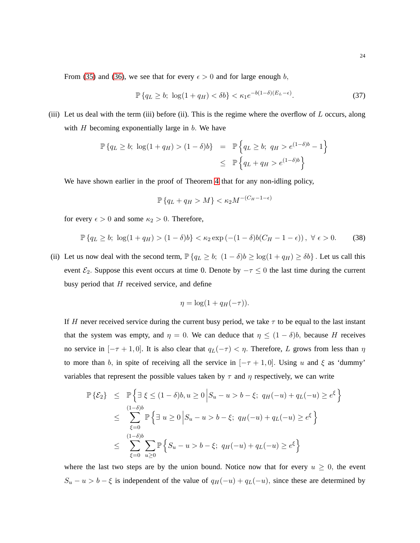From [\(35\)](#page-22-0) and [\(36\)](#page-22-1), we see that for every  $\epsilon > 0$  and for large enough b,

<span id="page-23-0"></span>
$$
\mathbb{P}\left\{q_L \geq b; \ \log(1+q_H) < \delta b\right\} < \kappa_1 e^{-b(1-\delta)(E_L - \epsilon)}.\tag{37}
$$

(iii) Let us deal with the term (iii) before (ii). This is the regime where the overflow of  $L$  occurs, along with  $H$  becoming exponentially large in  $b$ . We have

$$
\mathbb{P}\left\{q_L \geq b; \log(1+q_H) > (1-\delta)b\right\} = \mathbb{P}\left\{q_L \geq b; q_H > e^{(1-\delta)b} - 1\right\}
$$
  

$$
\leq \mathbb{P}\left\{q_L + q_H > e^{(1-\delta)b}\right\}
$$

We have shown earlier in the proof of Theorem [4](#page-13-0) that for any non-idling policy,

$$
\mathbb{P}\left\{q_L + q_H > M\right\} < \kappa_2 M^{-(C_H - 1 - \epsilon)}
$$

for every  $\epsilon > 0$  and some  $\kappa_2 > 0$ . Therefore,

<span id="page-23-1"></span>
$$
\mathbb{P}\left\{q_L \geq b; \ \log(1+q_H) > (1-\delta)b\right\} < \kappa_2 \exp\left(-(1-\delta)b(C_H - 1 - \epsilon)\right), \ \forall \ \epsilon > 0. \tag{38}
$$

(ii) Let us now deal with the second term,  $\mathbb{P} \{q_L \geq b; (1 - \delta)b \geq \log(1 + q_H) \geq \delta b\}$ . Let us call this event  $\mathcal{E}_2$ . Suppose this event occurs at time 0. Denote by  $-\tau \leq 0$  the last time during the current busy period that  $H$  received service, and define

$$
\eta = \log(1 + q_H(-\tau)).
$$

If H never received service during the current busy period, we take  $\tau$  to be equal to the last instant that the system was empty, and  $\eta = 0$ . We can deduce that  $\eta \leq (1 - \delta)b$ , because H receives no service in  $[-\tau + 1, 0]$ . It is also clear that  $q_L(-\tau) < \eta$ . Therefore, L grows from less than  $\eta$ to more than b, in spite of receiving all the service in  $[-\tau + 1, 0]$ . Using u and  $\xi$  as 'dummy' variables that represent the possible values taken by  $\tau$  and  $\eta$  respectively, we can write

$$
\mathbb{P}\left\{\mathcal{E}_2\right\} \leq \mathbb{P}\left\{\exists \xi \leq (1-\delta)b, u \geq 0 \middle| S_u - u > b - \xi; q_H(-u) + q_L(-u) \geq e^{\xi} \right\}
$$
  

$$
\leq \sum_{\xi=0}^{(1-\delta)b} \mathbb{P}\left\{\exists u \geq 0 \middle| S_u - u > b - \xi; q_H(-u) + q_L(-u) \geq e^{\xi} \right\}
$$
  

$$
\leq \sum_{\xi=0}^{(1-\delta)b} \sum_{u \geq 0} \mathbb{P}\left\{S_u - u > b - \xi; q_H(-u) + q_L(-u) \geq e^{\xi} \right\}
$$

where the last two steps are by the union bound. Notice now that for every  $u \geq 0$ , the event  $S_u - u > b - \xi$  is independent of the value of  $q_H(-u) + q_L(-u)$ , since these are determined by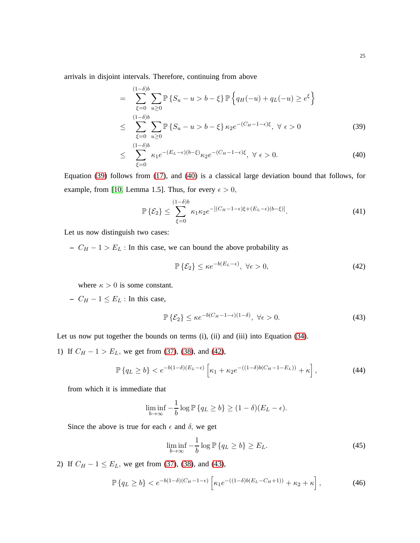arrivals in disjoint intervals. Therefore, continuing from above

<span id="page-24-0"></span>
$$
= \sum_{\xi=0}^{(1-\delta)b} \sum_{u\geq 0} \mathbb{P}\left\{S_u - u > b - \xi\right\} \mathbb{P}\left\{q_H(-u) + q_L(-u) \geq e^{\xi}\right\}
$$
  

$$
\leq \sum_{\xi=0}^{(1-\delta)b} \sum_{u\geq 0} \mathbb{P}\left\{S_u - u > b - \xi\right\} \kappa_2 e^{-(C_H - 1 - \epsilon)\xi}, \ \forall \ \epsilon > 0
$$
 (39)  

$$
\leq \sum_{\xi=0}^{(1-\delta)b} \kappa_1 e^{-(E_L - \epsilon)(b-\xi)} \kappa_2 e^{-(C_H - 1 - \epsilon)\xi}, \ \forall \ \epsilon > 0.
$$
 (40)

Equation [\(39\)](#page-24-0) follows from [\(17\)](#page-13-2), and [\(40\)](#page-24-0) is a classical large deviation bound that follows, for example, from [\[10,](#page-32-10) Lemma 1.5]. Thus, for every  $\epsilon > 0$ ,

$$
\mathbb{P}\left\{\mathcal{E}_2\right\} \le \sum_{\xi=0}^{(1-\delta)b} \kappa_1 \kappa_2 e^{-\left[(C_H - 1 - \epsilon)\xi + (E_L - \epsilon)(b - \xi)\right]}.
$$
\n(41)

Let us now distinguish two cases:

 $- C_H - 1 > E_L$ : In this case, we can bound the above probability as

<span id="page-24-1"></span>
$$
\mathbb{P}\left\{\mathcal{E}_2\right\} \le \kappa e^{-b(E_L - \epsilon)}, \ \forall \epsilon > 0,\tag{42}
$$

where  $\kappa > 0$  is some constant.

–  $C_H$  – 1 ≤  $E_L$  : In this case,

<span id="page-24-2"></span>
$$
\mathbb{P}\left\{\mathcal{E}_2\right\} \le \kappa e^{-b(C_H - 1 - \epsilon)(1 - \delta)}, \ \forall \epsilon > 0. \tag{43}
$$

Let us now put together the bounds on terms (i), (ii) and (iii) into Equation [\(34\)](#page-22-2).

1) If  $C_H - 1 > E_L$ , we get from [\(37\)](#page-23-0), [\(38\)](#page-23-1), and [\(42\)](#page-24-1),

$$
\mathbb{P}\left\{q_L \geq b\right\} < e^{-b(1-\delta)(E_L-\epsilon)} \left[\kappa_1 + \kappa_2 e^{-((1-\delta)b(C_H-1-E_L))} + \kappa\right],\tag{44}
$$

from which it is immediate that

$$
\liminf_{b \to \infty} -\frac{1}{b} \log \mathbb{P} \{ q_L \ge b \} \ge (1 - \delta)(E_L - \epsilon).
$$

Since the above is true for each  $\epsilon$  and  $\delta$ , we get

<span id="page-24-3"></span>
$$
\liminf_{b \to \infty} -\frac{1}{b} \log \mathbb{P} \{ q_L \ge b \} \ge E_L. \tag{45}
$$

2) If  $C_H - 1 \le E_L$ , we get from [\(37\)](#page-23-0), [\(38\)](#page-23-1), and [\(43\)](#page-24-2),

$$
\mathbb{P}\left\{q_L \geq b\right\} < e^{-b(1-\delta)(C_H - 1 - \epsilon)} \left[\kappa_1 e^{-((1-\delta)b(E_L - C_H + 1))} + \kappa_2 + \kappa\right],\tag{46}
$$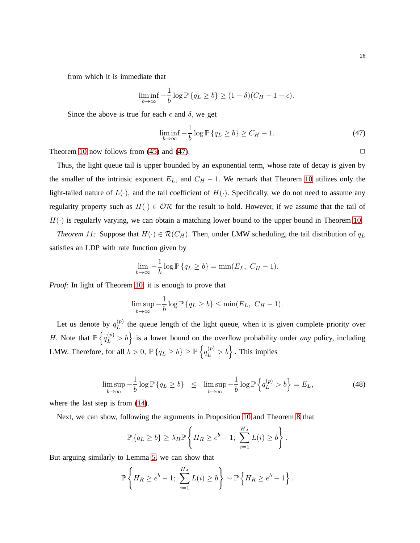from which it is immediate that

$$
\liminf_{b \to \infty} -\frac{1}{b} \log \mathbb{P} \{ q_L \ge b \} \ge (1 - \delta)(C_H - 1 - \epsilon).
$$

Since the above is true for each  $\epsilon$  and  $\delta$ , we get

<span id="page-25-0"></span>
$$
\liminf_{b \to \infty} -\frac{1}{b} \log \mathbb{P} \{ q_L \ge b \} \ge C_H - 1. \tag{47}
$$

Theorem [10](#page-21-0) now follows from [\(45\)](#page-24-3) and [\(47\)](#page-25-0).  $\Box$ 

Thus, the light queue tail is upper bounded by an exponential term, whose rate of decay is given by the smaller of the intrinsic exponent  $E_L$ , and  $C_H - 1$ . We remark that Theorem [10](#page-21-0) utilizes only the light-tailed nature of  $L(\cdot)$ , and the tail coefficient of  $H(\cdot)$ . Specifically, we do not need to assume any regularity property such as  $H(\cdot) \in \mathcal{OR}$  for the result to hold. However, if we assume that the tail of  $H(\cdot)$  is regularly varying, we can obtain a matching lower bound to the upper bound in Theorem [10.](#page-21-0)

*Theorem 11:* Suppose that  $H(\cdot) \in \mathcal{R}(C_H)$ . Then, under LMW scheduling, the tail distribution of  $q_L$ satisfies an LDP with rate function given by

$$
\lim_{b \to \infty} -\frac{1}{b} \log \mathbb{P} \{ q_L \ge b \} = \min(E_L, C_H - 1).
$$

*Proof:* In light of Theorem [10,](#page-21-0) it is enough to prove that

$$
\limsup_{b \to \infty} -\frac{1}{b} \log \mathbb{P} \{ q_L \ge b \} \le \min(E_L, C_H - 1).
$$

Let us denote by  $q_L^{(p)}$  $L<sup>(p)</sup>$  the queue length of the light queue, when it is given complete priority over H. Note that  $\mathbb{P}\left\{q_L^{(p)} > b\right\}$  is a lower bound on the overflow probability under *any* policy, including LMW. Therefore, for all  $b > 0$ ,  $\mathbb{P}\left\{q_L \geq b\right\} \geq \mathbb{P}\left\{q_L^{(p)} > b\right\}$ . This implies

<span id="page-25-1"></span>
$$
\limsup_{b \to \infty} -\frac{1}{b} \log \mathbb{P} \{ q_L \ge b \} \le \limsup_{b \to \infty} -\frac{1}{b} \log \mathbb{P} \left\{ q_L^{(p)} > b \right\} = E_L,\tag{48}
$$

where the last step is from [\(14\)](#page-11-3).

Next, we can show, following the arguments in Proposition [10](#page-16-2) and Theorem [8](#page-17-0) that

$$
\mathbb{P}\left\{q_L \geq b\right\} \geq \lambda_H \mathbb{P}\left\{H_R \geq e^b - 1; \sum_{i=1}^{H_A} L(i) \geq b\right\}.
$$

But arguing similarly to Lemma [5,](#page-29-0) we can show that

$$
\mathbb{P}\left\{H_R \geq e^b - 1; \sum_{i=1}^{H_A} L(i) \geq b\right\} \sim \mathbb{P}\left\{H_R \geq e^b - 1\right\}.
$$

<span id="page-25-2"></span>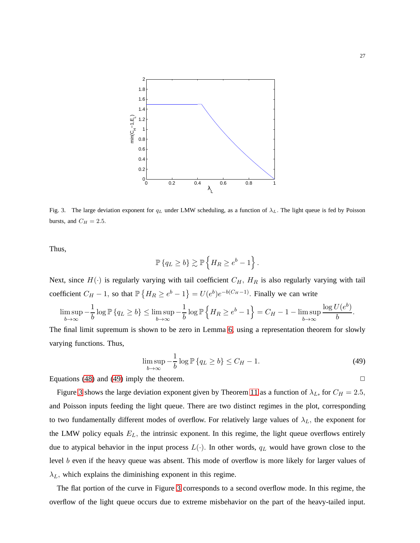

<span id="page-26-1"></span>Fig. 3. The large deviation exponent for  $q_L$  under LMW scheduling, as a function of  $\lambda_L$ . The light queue is fed by Poisson bursts, and  $C_H = 2.5$ .

Thus,

$$
\mathbb{P}\left\{q_L \geq b\right\} \gtrsim \mathbb{P}\left\{H_R \geq e^b - 1\right\}.
$$

Next, since  $H(\cdot)$  is regularly varying with tail coefficient  $C_H$ ,  $H_R$  is also regularly varying with tail coefficient  $C_H - 1$ , so that  $\mathbb{P}\left\{H_R \ge e^b - 1\right\} = U(e^b) e^{-b(C_H - 1)}$ . Finally we can write

$$
\limsup_{b \to \infty} -\frac{1}{b} \log \mathbb{P} \{ q_L \ge b \} \le \limsup_{b \to \infty} -\frac{1}{b} \log \mathbb{P} \left\{ H_R \ge e^b - 1 \right\} = C_H - 1 - \limsup_{b \to \infty} \frac{\log U(e^b)}{b}.
$$

The final limit supremum is shown to be zero in Lemma [6,](#page-31-0) using a representation theorem for slowly varying functions. Thus,

<span id="page-26-0"></span>
$$
\limsup_{b \to \infty} -\frac{1}{b} \log \mathbb{P} \{ q_L \ge b \} \le C_H - 1. \tag{49}
$$

Equations [\(48\)](#page-25-1) and [\(49\)](#page-26-0) imply the theorem.  $\Box$ 

Figure [3](#page-26-1) shows the large deviation exponent given by Theorem [11](#page-25-2) as a function of  $\lambda_L$ , for  $C_H = 2.5$ , and Poisson inputs feeding the light queue. There are two distinct regimes in the plot, corresponding to two fundamentally different modes of overflow. For relatively large values of  $\lambda_L$ , the exponent for the LMW policy equals  $E_L$ , the intrinsic exponent. In this regime, the light queue overflows entirely due to atypical behavior in the input process  $L(\cdot)$ . In other words,  $q_L$  would have grown close to the level b even if the heavy queue was absent. This mode of overflow is more likely for larger values of  $\lambda_L$ , which explains the diminishing exponent in this regime.

The flat portion of the curve in Figure [3](#page-26-1) corresponds to a second overflow mode. In this regime, the overflow of the light queue occurs due to extreme misbehavior on the part of the heavy-tailed input.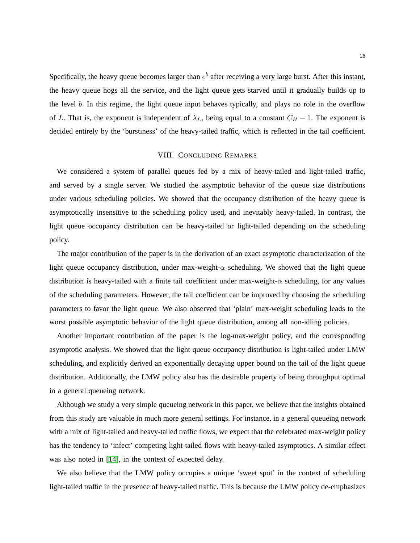Specifically, the heavy queue becomes larger than  $e^b$  after receiving a very large burst. After this instant, the heavy queue hogs all the service, and the light queue gets starved until it gradually builds up to the level b. In this regime, the light queue input behaves typically, and plays no role in the overflow of L. That is, the exponent is independent of  $\lambda_L$ , being equal to a constant  $C_H - 1$ . The exponent is decided entirely by the 'burstiness' of the heavy-tailed traffic, which is reflected in the tail coefficient.

## VIII. CONCLUDING REMARKS

<span id="page-27-0"></span>We considered a system of parallel queues fed by a mix of heavy-tailed and light-tailed traffic, and served by a single server. We studied the asymptotic behavior of the queue size distributions under various scheduling policies. We showed that the occupancy distribution of the heavy queue is asymptotically insensitive to the scheduling policy used, and inevitably heavy-tailed. In contrast, the light queue occupancy distribution can be heavy-tailed or light-tailed depending on the scheduling policy.

The major contribution of the paper is in the derivation of an exact asymptotic characterization of the light queue occupancy distribution, under max-weight-α scheduling. We showed that the light queue distribution is heavy-tailed with a finite tail coefficient under max-weight-α scheduling, for any values of the scheduling parameters. However, the tail coefficient can be improved by choosing the scheduling parameters to favor the light queue. We also observed that 'plain' max-weight scheduling leads to the worst possible asymptotic behavior of the light queue distribution, among all non-idling policies.

Another important contribution of the paper is the log-max-weight policy, and the corresponding asymptotic analysis. We showed that the light queue occupancy distribution is light-tailed under LMW scheduling, and explicitly derived an exponentially decaying upper bound on the tail of the light queue distribution. Additionally, the LMW policy also has the desirable property of being throughput optimal in a general queueing network.

Although we study a very simple queueing network in this paper, we believe that the insights obtained from this study are valuable in much more general settings. For instance, in a general queueing network with a mix of light-tailed and heavy-tailed traffic flows, we expect that the celebrated max-weight policy has the tendency to 'infect' competing light-tailed flows with heavy-tailed asymptotics. A similar effect was also noted in [\[14\]](#page-33-8), in the context of expected delay.

We also believe that the LMW policy occupies a unique 'sweet spot' in the context of scheduling light-tailed traffic in the presence of heavy-tailed traffic. This is because the LMW policy de-emphasizes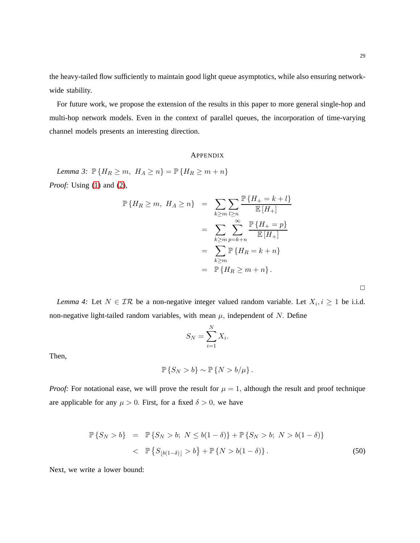the heavy-tailed flow sufficiently to maintain good light queue asymptotics, while also ensuring networkwide stability.

For future work, we propose the extension of the results in this paper to more general single-hop and multi-hop network models. Even in the context of parallel queues, the incorporation of time-varying channel models presents an interesting direction.

## APPENDIX

<span id="page-28-2"></span>*Lemma 3:*  $\mathbb{P}\left\{H_R \geq m, H_A \geq n\right\} = \mathbb{P}\left\{H_R \geq m + n\right\}$ *Proof:* Using [\(1\)](#page-7-3) and [\(2\)](#page-7-4),

$$
\mathbb{P}\{H_R \geq m, H_A \geq n\} = \sum_{k \geq m} \sum_{l \geq n} \frac{\mathbb{P}\{H_+ = k + l\}}{\mathbb{E}[H_+]} \n= \sum_{k \geq m} \sum_{p=k+n}^{\infty} \frac{\mathbb{P}\{H_+ = p\}}{\mathbb{E}[H_+]} \n= \sum_{k \geq m} \mathbb{P}\{H_R = k + n\} \n= \mathbb{P}\{H_R \geq m + n\}.
$$

<span id="page-28-0"></span>*Lemma 4:* Let  $N \in \mathcal{IR}$  be a non-negative integer valued random variable. Let  $X_i, i \geq 1$  be i.i.d. non-negative light-tailed random variables, with mean  $\mu$ , independent of N. Define

$$
S_N = \sum_{i=1}^N X_i.
$$

Then,

$$
\mathbb{P}\left\{S_N > b\right\} \sim \mathbb{P}\left\{N > b/\mu\right\}.
$$

*Proof:* For notational ease, we will prove the result for  $\mu = 1$ , although the result and proof technique are applicable for any  $\mu > 0$ . First, for a fixed  $\delta > 0$ , we have

<span id="page-28-1"></span>
$$
\mathbb{P}\{S_N > b\} = \mathbb{P}\{S_N > b; N \le b(1 - \delta)\} + \mathbb{P}\{S_N > b; N > b(1 - \delta)\}\
$$
  

$$
< \mathbb{P}\{S_{\lfloor b(1 - \delta)\rfloor} > b\} + \mathbb{P}\{N > b(1 - \delta)\}.
$$
 (50)

Next, we write a lower bound:

 $\Box$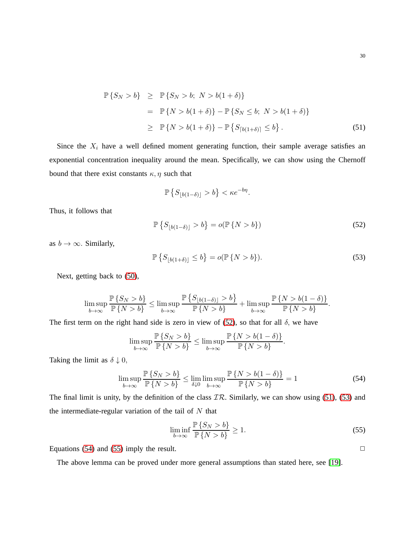<span id="page-29-2"></span>
$$
\mathbb{P}\{S_N > b\} \geq \mathbb{P}\{S_N > b; N > b(1 + \delta)\}\
$$
  
=  $\mathbb{P}\{N > b(1 + \delta)\} - \mathbb{P}\{S_N \leq b; N > b(1 + \delta)\}\$   
 $\geq \mathbb{P}\{N > b(1 + \delta)\} - \mathbb{P}\{S_{\lceil b(1 + \delta)\rceil} \leq b\}.$  (51)

Since the  $X_i$  have a well defined moment generating function, their sample average satisfies an exponential concentration inequality around the mean. Specifically, we can show using the Chernoff bound that there exist constants  $\kappa$ ,  $\eta$  such that

$$
\mathbb{P}\left\{S_{\lfloor b(1-\delta)\rfloor} > b\right\} < \kappa e^{-b\eta}.
$$

Thus, it follows that

<span id="page-29-1"></span>
$$
\mathbb{P}\left\{S_{\lfloor b(1-\delta)\rfloor} > b\right\} = o(\mathbb{P}\left\{N > b\right\})\tag{52}
$$

as  $b \to \infty$ . Similarly,

<span id="page-29-3"></span>
$$
\mathbb{P}\left\{S_{\lfloor b(1+\delta)\rfloor} \le b\right\} = o(\mathbb{P}\left\{N > b\right\}).\tag{53}
$$

Next, getting back to [\(50\)](#page-28-1),

$$
\limsup_{b \to \infty} \frac{\mathbb{P}\left\{S_N > b\right\}}{\mathbb{P}\left\{N > b\right\}} \le \limsup_{b \to \infty} \frac{\mathbb{P}\left\{S_{\lfloor b(1-\delta)\rfloor} > b\right\}}{\mathbb{P}\left\{N > b\right\}} + \limsup_{b \to \infty} \frac{\mathbb{P}\left\{N > b(1-\delta)\right\}}{\mathbb{P}\left\{N > b\right\}}.
$$

The first term on the right hand side is zero in view of [\(52\)](#page-29-1), so that for all  $\delta$ , we have

$$
\limsup_{b \to \infty} \frac{\mathbb{P}\left\{S_N > b\right\}}{\mathbb{P}\left\{N > b\right\}} \le \limsup_{b \to \infty} \frac{\mathbb{P}\left\{N > b(1-\delta)\right\}}{\mathbb{P}\left\{N > b\right\}}.
$$

Taking the limit as  $\delta \downarrow 0$ ,

<span id="page-29-4"></span>
$$
\limsup_{b \to \infty} \frac{\mathbb{P}\left\{S_N > b\right\}}{\mathbb{P}\left\{N > b\right\}} \le \lim_{\delta \downarrow 0} \limsup_{b \to \infty} \frac{\mathbb{P}\left\{N > b(1 - \delta)\right\}}{\mathbb{P}\left\{N > b\right\}} = 1\tag{54}
$$

The final limit is unity, by the definition of the class  $\mathcal{IR}$ . Similarly, we can show using [\(51\)](#page-29-2), [\(53\)](#page-29-3) and the intermediate-regular variation of the tail of  $N$  that

<span id="page-29-5"></span>
$$
\liminf_{b \to \infty} \frac{\mathbb{P}\{S_N > b\}}{\mathbb{P}\{N > b\}} \ge 1. \tag{55}
$$

Equations [\(54\)](#page-29-4) and [\(55\)](#page-29-5) imply the result.  $\Box$ 

The above lemma can be proved under more general assumptions than stated here, see [\[19\]](#page-33-10).

<span id="page-29-0"></span>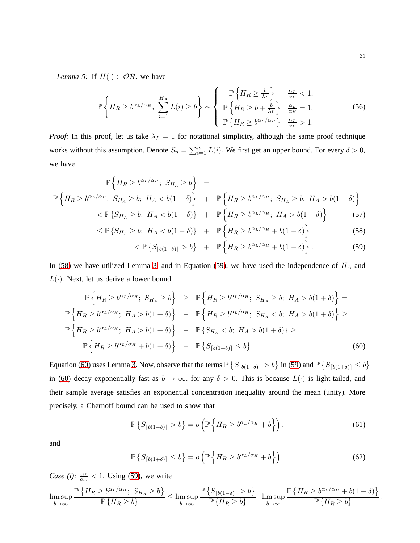*Lemma 5:* If  $H(\cdot) \in \mathcal{OR}$ , we have

$$
\mathbb{P}\left\{H_R \geq b^{\alpha_L/\alpha_H}, \sum_{i=1}^{H_A} L(i) \geq b\right\} \sim \left\{\begin{array}{c}\mathbb{P}\left\{H_R \geq \frac{b}{\lambda_L}\right\} & \frac{\alpha_L}{\alpha_H} < 1, \\ \mathbb{P}\left\{H_R \geq b + \frac{b}{\lambda_L}\right\} & \frac{\alpha_L}{\alpha_H} = 1, \\ \mathbb{P}\left\{H_R \geq b^{\alpha_L/\alpha_H}\right\} & \frac{\alpha_L}{\alpha_H} > 1.\end{array}\right. \tag{56}
$$

*Proof:* In this proof, let us take  $\lambda_L = 1$  for notational simplicity, although the same proof technique works without this assumption. Denote  $S_n = \sum_{i=1}^n L(i)$ . We first get an upper bound. For every  $\delta > 0$ , we have

$$
\mathbb{P}\left\{H_R \ge b^{\alpha_L/\alpha_H}; S_{H_A} \ge b\right\} =
$$
  

$$
\mathbb{P}\left\{H_R \ge b^{\alpha_L/\alpha_H}; S_{H_A} \ge b; H_A < b(1-\delta)\right\} + \mathbb{P}\left\{H_R \ge b^{\alpha_L/\alpha_H}; S_{H_A} \ge b; H_A > b(1-\delta)\right\}
$$
  

$$
< \mathbb{P}\left\{S_{tt} > b; H_A < b(1-\delta)\right\} + \mathbb{P}\left\{H_R > b^{\alpha_L/\alpha_H}; H_A > b(1-\delta)\right\} \tag{57}
$$

<span id="page-30-0"></span>
$$
\langle \mathbb{P}\left\{S_{H_A} \ge b; H_A < b(1-\delta)\right\} + \mathbb{P}\left\{H_R \ge b^{\alpha_L/\alpha_H}; H_A > b(1-\delta)\right\} \tag{57}
$$
\n
$$
\langle \mathbb{P}\left\{S_{H_A} > b; H_A < b(1-\delta)\right\} + \mathbb{P}\left\{H_R > b^{\alpha_L/\alpha_H} + b(1-\delta)\right\} \tag{58}
$$

$$
\leq \mathbb{P}\left\{S_{H_A} \geq b; H_A < b(1-\delta)\right\} + \mathbb{P}\left\{H_R \geq b^{\alpha_L/\alpha_H} + b(1-\delta)\right\} \tag{58}
$$

$$
<\mathbb{P}\left\{S_{\lfloor b(1-\delta)\rfloor} > b\right\} + \mathbb{P}\left\{H_R \geq b^{\alpha_L/\alpha_H} + b(1-\delta)\right\}.
$$
 (59)

In [\(58\)](#page-30-0) we have utilized Lemma [3,](#page-28-2) and in Equation [\(59\)](#page-30-0), we have used the independence of  $H_A$  and  $L(\cdot)$ . Next, let us derive a lower bound.

<span id="page-30-1"></span>
$$
\mathbb{P}\left\{H_R \geq b^{\alpha_L/\alpha_H}; S_{H_A} \geq b\right\} \geq \mathbb{P}\left\{H_R \geq b^{\alpha_L/\alpha_H}; S_{H_A} \geq b; H_A > b(1+\delta)\right\} =
$$
  

$$
\mathbb{P}\left\{H_R \geq b^{\alpha_L/\alpha_H}; H_A > b(1+\delta)\right\} - \mathbb{P}\left\{H_R \geq b^{\alpha_L/\alpha_H}; S_{H_A} < b; H_A > b(1+\delta)\right\} \geq
$$
  

$$
\mathbb{P}\left\{H_R \geq b^{\alpha_L/\alpha_H}; H_A > b(1+\delta)\right\} - \mathbb{P}\left\{S_{H_A} < b; H_A > b(1+\delta)\right\} \geq
$$
  

$$
\mathbb{P}\left\{H_R \geq b^{\alpha_L/\alpha_H} + b(1+\delta)\right\} - \mathbb{P}\left\{S_{\lceil b(1+\delta)\rceil} \leq b\right\}.
$$
 (60)

Equation [\(60\)](#page-30-1) uses Lemma [3.](#page-28-2) Now, observe that the terms  $\mathbb{P}\left\{S_{\lfloor b(1-\delta)\rfloor} > b\right\}$  in [\(59\)](#page-30-0) and  $\mathbb{P}\left\{S_{\lceil b(1+\delta)\rceil} \leq b\right\}$ in [\(60\)](#page-30-1) decay exponentially fast as  $b \to \infty$ , for any  $\delta > 0$ . This is because  $L(\cdot)$  is light-tailed, and their sample average satisfies an exponential concentration inequality around the mean (unity). More precisely, a Chernoff bound can be used to show that

<span id="page-30-2"></span>
$$
\mathbb{P}\left\{S_{\lfloor b(1-\delta)\rfloor} > b\right\} = o\left(\mathbb{P}\left\{H_R \ge b^{\alpha_L/\alpha_H} + b\right\}\right),\tag{61}
$$

and

<span id="page-30-3"></span>
$$
\mathbb{P}\left\{S_{\lceil b(1+\delta)\rceil} \le b\right\} = o\left(\mathbb{P}\left\{H_R \ge b^{\alpha_L/\alpha_H} + b\right\}\right). \tag{62}
$$

*Case (i):*  $\frac{\alpha_L}{\alpha_H} < 1$ . Using [\(59\)](#page-30-0), we write

$$
\limsup_{b\to\infty}\frac{\mathbb{P}\left\{H_R\geq b^{\alpha_L/\alpha_H};\ S_{H_A}\geq b\right\}}{\mathbb{P}\left\{H_R\geq b\right\}}\leq \limsup_{b\to\infty}\frac{\mathbb{P}\left\{S_{\lfloor b(1-\delta)\rfloor}>b\right\}}{\mathbb{P}\left\{H_R\geq b\right\}}+\limsup_{b\to\infty}\frac{\mathbb{P}\left\{H_R\geq b^{\alpha_L/\alpha_H}+b(1-\delta)\right\}}{\mathbb{P}\left\{H_R\geq b\right\}}.
$$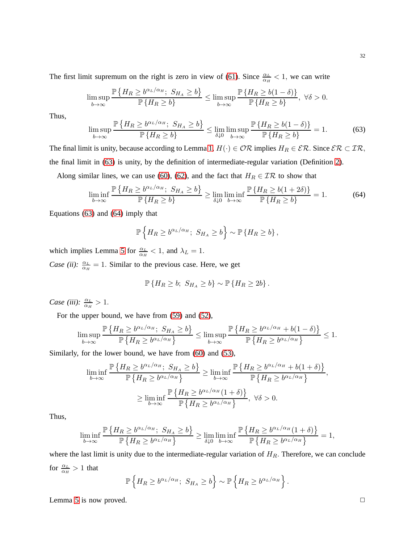The first limit supremum on the right is zero in view of [\(61\)](#page-30-2). Since  $\frac{\alpha_L}{\alpha_H} < 1$ , we can write

$$
\limsup_{b \to \infty} \frac{\mathbb{P}\left\{H_R \ge b^{\alpha_L/\alpha_H};\ S_{H_A} \ge b\right\}}{\mathbb{P}\left\{H_R \ge b\right\}} \le \limsup_{b \to \infty} \frac{\mathbb{P}\left\{H_R \ge b(1-\delta)\right\}}{\mathbb{P}\left\{H_R \ge b\right\}},\ \forall \delta > 0.
$$

Thus,

<span id="page-31-1"></span>
$$
\limsup_{b \to \infty} \frac{\mathbb{P}\left\{H_R \ge b^{\alpha_L/\alpha_H}; \ S_{H_A} \ge b\right\}}{\mathbb{P}\left\{H_R \ge b\right\}} \le \lim_{\delta \downarrow 0} \limsup_{b \to \infty} \frac{\mathbb{P}\left\{H_R \ge b(1-\delta)\right\}}{\mathbb{P}\left\{H_R \ge b\right\}} = 1. \tag{63}
$$

The final limit is unity, because according to Lemma [1,](#page-8-2)  $H(\cdot) \in \mathcal{OR}$  implies  $H_R \in \mathcal{ER}$ . Since  $\mathcal{ER} \subset \mathcal{IR}$ , the final limit in [\(63\)](#page-31-1) is unity, by the definition of intermediate-regular variation (Definition [2\)](#page-4-1).

Along similar lines, we can use [\(60\)](#page-30-1), [\(62\)](#page-30-3), and the fact that  $H_R \in \mathcal{IR}$  to show that

<span id="page-31-2"></span>
$$
\liminf_{b \to \infty} \frac{\mathbb{P}\left\{H_R \ge b^{\alpha_L/\alpha_H}; \ S_{H_A} \ge b\right\}}{\mathbb{P}\left\{H_R \ge b\right\}} \ge \lim_{\delta \downarrow 0} \liminf_{b \to \infty} \frac{\mathbb{P}\left\{H_R \ge b(1+2\delta)\right\}}{\mathbb{P}\left\{H_R \ge b\right\}} = 1. \tag{64}
$$

Equations [\(63\)](#page-31-1) and [\(64\)](#page-31-2) imply that

$$
\mathbb{P}\left\{H_R \geq b^{\alpha_L/\alpha_H};\ S_{H_A} \geq b\right\} \sim \mathbb{P}\left\{H_R \geq b\right\},\
$$

which implies Lemma [5](#page-29-0) for  $\frac{\alpha_L}{\alpha_H} < 1$ , and  $\lambda_L = 1$ .

*Case (ii):*  $\frac{\alpha_L}{\alpha_H} = 1$ . Similar to the previous case. Here, we get

$$
\mathbb{P}\left\{H_R \geq b; \ S_{H_A} \geq b\right\} \sim \mathbb{P}\left\{H_R \geq 2b\right\}.
$$

*Case (iii):*  $\frac{\alpha_L}{\alpha_H} > 1$ .

For the upper bound, we have from [\(59\)](#page-30-0) and [\(52\)](#page-29-1),

$$
\limsup_{b\to\infty}\frac{\mathbb{P}\left\{H_R\geq b^{\alpha_L/\alpha_H};\ S_{H_A}\geq b\right\}}{\mathbb{P}\left\{H_R\geq b^{\alpha_L/\alpha_H}\right\}}\leq \limsup_{b\to\infty}\frac{\mathbb{P}\left\{H_R\geq b^{\alpha_L/\alpha_H}+b(1-\delta)\right\}}{\mathbb{P}\left\{H_R\geq b^{\alpha_L/\alpha_H}\right\}}\leq 1.
$$

Similarly, for the lower bound, we have from [\(60\)](#page-30-1) and [\(53\)](#page-29-3),

$$
\liminf_{b \to \infty} \frac{\mathbb{P}\left\{H_R \ge b^{\alpha_L/\alpha_H}; \ S_{H_A} \ge b\right\}}{\mathbb{P}\left\{H_R \ge b^{\alpha_L/\alpha_H}\right\}} \ge \liminf_{b \to \infty} \frac{\mathbb{P}\left\{H_R \ge b^{\alpha_L/\alpha_H} + b(1+\delta)\right\}}{\mathbb{P}\left\{H_R \ge b^{\alpha_L/\alpha_H}\right\}},
$$
\n
$$
\ge \liminf_{b \to \infty} \frac{\mathbb{P}\left\{H_R \ge b^{\alpha_L/\alpha_H}(1+\delta)\right\}}{\mathbb{P}\left\{H_R \ge b^{\alpha_L/\alpha_H}\right\}}, \ \forall \delta > 0.
$$

Thus,

$$
\liminf_{b \to \infty} \frac{\mathbb{P}\left\{H_R \ge b^{\alpha_L/\alpha_H};\ S_{H_A} \ge b\right\}}{\mathbb{P}\left\{H_R \ge b^{\alpha_L/\alpha_H}\right\}} \ge \lim_{\delta \downarrow 0} \liminf_{b \to \infty} \frac{\mathbb{P}\left\{H_R \ge b^{\alpha_L/\alpha_H}(1+\delta)\right\}}{\mathbb{P}\left\{H_R \ge b^{\alpha_L/\alpha_H}\right\}} = 1,
$$

where the last limit is unity due to the intermediate-regular variation of  $H_R$ . Therefore, we can conclude for  $\frac{\alpha_L}{\alpha_H} > 1$  that

$$
\mathbb{P}\left\{H_R \geq b^{\alpha_L/\alpha_H}; \ S_{H_A} \geq b\right\} \sim \mathbb{P}\left\{H_R \geq b^{\alpha_L/\alpha_H}\right\}
$$

<span id="page-31-0"></span>Lemma [5](#page-29-0) is now proved.  $\Box$ 

.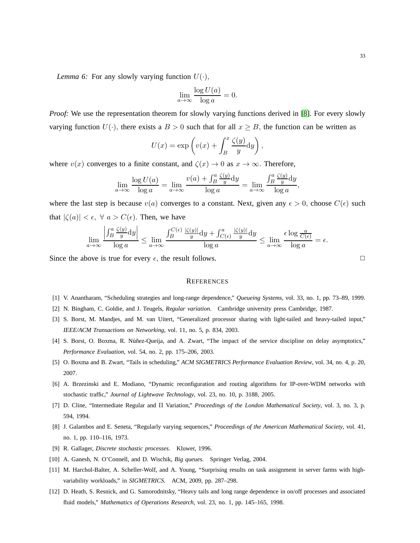*Lemma 6:* For any slowly varying function  $U(\cdot)$ ,

$$
\lim_{a \to \infty} \frac{\log U(a)}{\log a} = 0.
$$

*Proof:* We use the representation theorem for slowly varying functions derived in [\[8\]](#page-32-11). For every slowly varying function  $U(\cdot)$ , there exists a  $B > 0$  such that for all  $x \geq B$ , the function can be written as

$$
U(x) = \exp\left(v(x) + \int_B^x \frac{\zeta(y)}{y} dy\right),\,
$$

where  $v(x)$  converges to a finite constant, and  $\zeta(x) \to 0$  as  $x \to \infty$ . Therefore,

$$
\lim_{a \to \infty} \frac{\log U(a)}{\log a} = \lim_{a \to \infty} \frac{v(a) + \int_B^a \frac{\zeta(y)}{y} dy}{\log a} = \lim_{a \to \infty} \frac{\int_B^a \frac{\zeta(y)}{y} dy}{\log a},
$$

where the last step is because  $v(a)$  converges to a constant. Next, given any  $\epsilon > 0$ , choose  $C(\epsilon)$  such that  $|\zeta(a)| < \epsilon$ ,  $\forall a > C(\epsilon)$ . Then, we have

$$
\lim_{a \to \infty} \frac{\left| \int_B^a \frac{\zeta(y)}{y} dy \right|}{\log a} \le \lim_{a \to \infty} \frac{\int_B^{C(\epsilon)} \frac{|\zeta(y)|}{y} dy + \int_{C(\epsilon)}^a \frac{|\zeta(y)|}{y} dy}{\log a} \le \lim_{a \to \infty} \frac{\epsilon \log \frac{a}{C(\epsilon)}}{\log a} = \epsilon.
$$

Since the above is true for every  $\epsilon$ , the result follows.  $\Box$ 

#### **REFERENCES**

- <span id="page-32-7"></span><span id="page-32-3"></span>[1] V. Anantharam, "Scheduling strategies and long-range dependence," *Queueing Systems*, vol. 33, no. 1, pp. 73–89, 1999.
- <span id="page-32-5"></span>[2] N. Bingham, C. Goldie, and J. Teugels, *Regular variation*. Cambridge university press Cambridge, 1987.
- <span id="page-32-1"></span>[3] S. Borst, M. Mandjes, and M. van Uitert, "Generalized processor sharing with light-tailed and heavy-tailed input," *IEEE/ACM Transactions on Networking*, vol. 11, no. 5, p. 834, 2003.
- <span id="page-32-2"></span>[4] S. Borst, O. Boxma, R. Núñez-Queija, and A. Zwart, "The impact of the service discipline on delay asymptotics," *Performance Evaluation*, vol. 54, no. 2, pp. 175–206, 2003.
- <span id="page-32-6"></span>[5] O. Boxma and B. Zwart, "Tails in scheduling," *ACM SIGMETRICS Performance Evaluation Review*, vol. 34, no. 4, p. 20, 2007.
- <span id="page-32-8"></span>[6] A. Brzezinski and E. Modiano, "Dynamic reconfiguration and routing algorithms for IP-over-WDM networks with stochastic traffic," *Journal of Lightwave Technology*, vol. 23, no. 10, p. 3188, 2005.
- <span id="page-32-11"></span>[7] D. Cline, "Intermediate Regular and Π Variation," *Proceedings of the London Mathematical Society*, vol. 3, no. 3, p. 594, 1994.
- <span id="page-32-9"></span>[8] J. Galambos and E. Seneta, "Regularly varying sequences," *Proceedings of the American Mathematical Society*, vol. 41, no. 1, pp. 110–116, 1973.
- <span id="page-32-10"></span>[9] R. Gallager, *Discrete stochastic processes*. Kluwer, 1996.
- <span id="page-32-4"></span>[10] A. Ganesh, N. O'Connell, and D. Wischik, *Big queues*. Springer Verlag, 2004.
- <span id="page-32-0"></span>[11] M. Harchol-Balter, A. Scheller-Wolf, and A. Young, "Surprising results on task assignment in server farms with highvariability workloads," in *SIGMETRICS*. ACM, 2009, pp. 287–298.
- [12] D. Heath, S. Resnick, and G. Samorodnitsky, "Heavy tails and long range dependence in on/off processes and associated fluid models," *Mathematics of Operations Research*, vol. 23, no. 1, pp. 145–165, 1998.